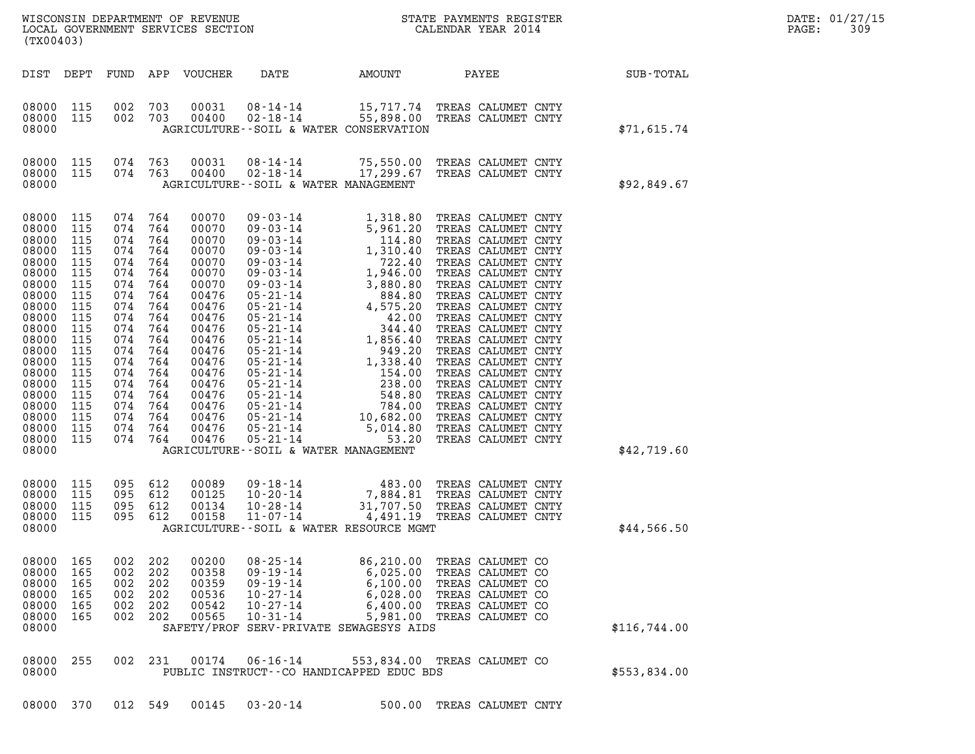| (TX00403)                                                                                                                                                                                          |                                                                                                                                                 |                                                                                                                                                     |                                                                                                                                          | LOCAL GOVERNMENT SERVICES SECTION                                                                                                                                                         |                                                                                                                                                                                                                                                                                                                                                                                                  |                                                                                                                                                                                                                                                                  |                                                                                                                                                                                                                                                                                                                                                                                                                                                                            |              | DATE: 01/27/15<br>309<br>PAGE: |
|----------------------------------------------------------------------------------------------------------------------------------------------------------------------------------------------------|-------------------------------------------------------------------------------------------------------------------------------------------------|-----------------------------------------------------------------------------------------------------------------------------------------------------|------------------------------------------------------------------------------------------------------------------------------------------|-------------------------------------------------------------------------------------------------------------------------------------------------------------------------------------------|--------------------------------------------------------------------------------------------------------------------------------------------------------------------------------------------------------------------------------------------------------------------------------------------------------------------------------------------------------------------------------------------------|------------------------------------------------------------------------------------------------------------------------------------------------------------------------------------------------------------------------------------------------------------------|----------------------------------------------------------------------------------------------------------------------------------------------------------------------------------------------------------------------------------------------------------------------------------------------------------------------------------------------------------------------------------------------------------------------------------------------------------------------------|--------------|--------------------------------|
| DIST DEPT                                                                                                                                                                                          |                                                                                                                                                 | FUND                                                                                                                                                |                                                                                                                                          | APP VOUCHER                                                                                                                                                                               | DATE                                                                                                                                                                                                                                                                                                                                                                                             | AMOUNT                                                                                                                                                                                                                                                           | PAYEE                                                                                                                                                                                                                                                                                                                                                                                                                                                                      | SUB-TOTAL    |                                |
| 08000<br>08000<br>08000                                                                                                                                                                            | 115<br>115                                                                                                                                      | 002<br>002 703                                                                                                                                      | 703                                                                                                                                      | 00031<br>00400                                                                                                                                                                            | 08-14-14<br>$02 - 18 - 14$<br>AGRICULTURE -- SOIL & WATER CONSERVATION                                                                                                                                                                                                                                                                                                                           |                                                                                                                                                                                                                                                                  | 15,717.74 TREAS CALUMET CNTY<br>55,898.00 TREAS CALUMET CNTY                                                                                                                                                                                                                                                                                                                                                                                                               | \$71,615.74  |                                |
| 08000<br>08000<br>08000                                                                                                                                                                            | 115<br>115                                                                                                                                      | 074 763<br>074 763                                                                                                                                  |                                                                                                                                          | 00031<br>00400                                                                                                                                                                            | $08 - 14 - 14$<br>$02 - 18 - 14$<br>AGRICULTURE--SOIL & WATER MANAGEMENT                                                                                                                                                                                                                                                                                                                         | 75,550.00<br>17,299.67                                                                                                                                                                                                                                           | TREAS CALUMET CNTY<br>TREAS CALUMET CNTY                                                                                                                                                                                                                                                                                                                                                                                                                                   | \$92,849.67  |                                |
| 08000<br>08000<br>08000<br>08000<br>08000<br>08000<br>08000<br>08000<br>08000<br>08000<br>08000<br>08000<br>08000<br>08000<br>08000<br>08000<br>08000<br>08000<br>08000<br>08000<br>08000<br>08000 | 115<br>115<br>115<br>115<br>115<br>115<br>115<br>115<br>115<br>115<br>115<br>115<br>115<br>115<br>115<br>115<br>115<br>115<br>115<br>115<br>115 | 074 764<br>074<br>074<br>074<br>074<br>074<br>074<br>074<br>074<br>074<br>074<br>074<br>074<br>074<br>074<br>074<br>074<br>074<br>074<br>074<br>074 | 764<br>764<br>764<br>764<br>764<br>764<br>764<br>764<br>764<br>764<br>764<br>764<br>764<br>764<br>764<br>764<br>764<br>764<br>764<br>764 | 00070<br>00070<br>00070<br>00070<br>00070<br>00070<br>00070<br>00476<br>00476<br>00476<br>00476<br>00476<br>00476<br>00476<br>00476<br>00476<br>00476<br>00476<br>00476<br>00476<br>00476 | $09 - 03 - 14$<br>$09 - 03 - 14$<br>$09 - 03 - 14$<br>$09 - 03 - 14$<br>09-03-14<br>$09 - 03 - 14$<br>$09 - 03 - 14$<br>$05 - 21 - 14$<br>$05 - 21 - 14$<br>$05 - 21 - 14$<br>$05 - 21 - 14$<br>$05 - 21 - 14$<br>05-21-14<br>$05 - 21 - 14$<br>05-21-14<br>$05 - 21 - 14$<br>05-21-14<br>05-21-14<br>$05 - 21 - 14$<br>$05 - 21 - 14$<br>$05 - 21 - 14$<br>AGRICULTURE--SOIL & WATER MANAGEMENT | 1,318.80<br>5,961.20<br>114.80<br>1,310.40<br>722.40<br>$722.40$<br>$1,946.00$<br>$3,880.80$<br>$884.80$<br>$4,575.20$<br>$344.40$<br>$1,856.40$<br>$949.20$<br>$1,338.40$<br>$154.00$<br>$238.00$<br>$548.80$<br>$10,682.00$<br>$5,014.80$<br>5,014.80<br>53.20 | TREAS CALUMET CNTY<br>TREAS CALUMET CNTY<br>TREAS CALUMET CNTY<br>TREAS CALUMET CNTY<br>TREAS CALUMET CNTY<br>TREAS CALUMET CNTY<br>TREAS CALUMET CNTY<br>TREAS CALUMET CNTY<br>TREAS CALUMET CNTY<br>TREAS CALUMET CNTY<br>TREAS CALUMET CNTY<br>TREAS CALUMET CNTY<br>TREAS CALUMET CNTY<br>TREAS CALUMET CNTY<br>TREAS CALUMET CNTY<br>TREAS CALUMET CNTY<br>TREAS CALUMET CNTY<br>TREAS CALUMET CNTY<br>TREAS CALUMET CNTY<br>TREAS CALUMET CNTY<br>TREAS CALUMET CNTY | \$42,719.60  |                                |
| 08000<br>08000<br>08000<br>08000<br>08000                                                                                                                                                          | 115<br>115<br>115<br>115                                                                                                                        | 095<br>095<br>095<br>095                                                                                                                            | 612<br>612<br>612<br>612                                                                                                                 | 00089<br>00125<br>00134<br>00158                                                                                                                                                          | $09 - 18 - 14$<br>$10 - 20 - 14$<br>$10 - 28 - 14$<br>$11 - 07 - 14$<br>AGRICULTURE--SOIL & WATER RESOURCE MGMT                                                                                                                                                                                                                                                                                  | 483.00<br>7,884.81<br>31,707.50<br>4,491.19                                                                                                                                                                                                                      | TREAS CALUMET CNTY<br>TREAS CALUMET CNTY<br>TREAS CALUMET CNTY<br>TREAS CALUMET CNTY                                                                                                                                                                                                                                                                                                                                                                                       | \$44,566.50  |                                |
| 08000<br>08000<br>08000<br>08000<br>08000<br>08000<br>08000                                                                                                                                        | 165<br>165<br>165<br>165<br>165<br>165                                                                                                          | 002<br>002<br>002<br>002<br>002<br>002                                                                                                              | 202<br>202<br>202<br>202<br>202<br>202                                                                                                   | 00200<br>00358<br>00359<br>00536<br>00542<br>00565                                                                                                                                        | $08 - 25 - 14$<br>$09 - 19 - 14$<br>$09 - 19 - 14$<br>$10 - 27 - 14$<br>$10 - 27 - 14$<br>$10 - 31 - 14$<br>SAFETY/PROF SERV-PRIVATE SEWAGESYS AIDS                                                                                                                                                                                                                                              | 86,210.00<br>6,025.00<br>6,100.00<br>6,028.00<br>6,400.00<br>5,981.00                                                                                                                                                                                            | TREAS CALUMET CO<br>TREAS CALUMET CO<br>TREAS CALUMET CO<br>TREAS CALUMET CO<br>TREAS CALUMET CO<br>TREAS CALUMET CO                                                                                                                                                                                                                                                                                                                                                       | \$116,744.00 |                                |
| 08000<br>08000                                                                                                                                                                                     | 255                                                                                                                                             | 002                                                                                                                                                 | 231                                                                                                                                      | 00174                                                                                                                                                                                     | $06 - 16 - 14$<br>PUBLIC INSTRUCT--CO HANDICAPPED EDUC BDS                                                                                                                                                                                                                                                                                                                                       |                                                                                                                                                                                                                                                                  | 553,834.00 TREAS CALUMET CO                                                                                                                                                                                                                                                                                                                                                                                                                                                | \$553,834.00 |                                |
| 08000                                                                                                                                                                                              | 370                                                                                                                                             | 012                                                                                                                                                 | 549                                                                                                                                      | 00145                                                                                                                                                                                     | $03 - 20 - 14$                                                                                                                                                                                                                                                                                                                                                                                   |                                                                                                                                                                                                                                                                  | 500.00 TREAS CALUMET CNTY                                                                                                                                                                                                                                                                                                                                                                                                                                                  |              |                                |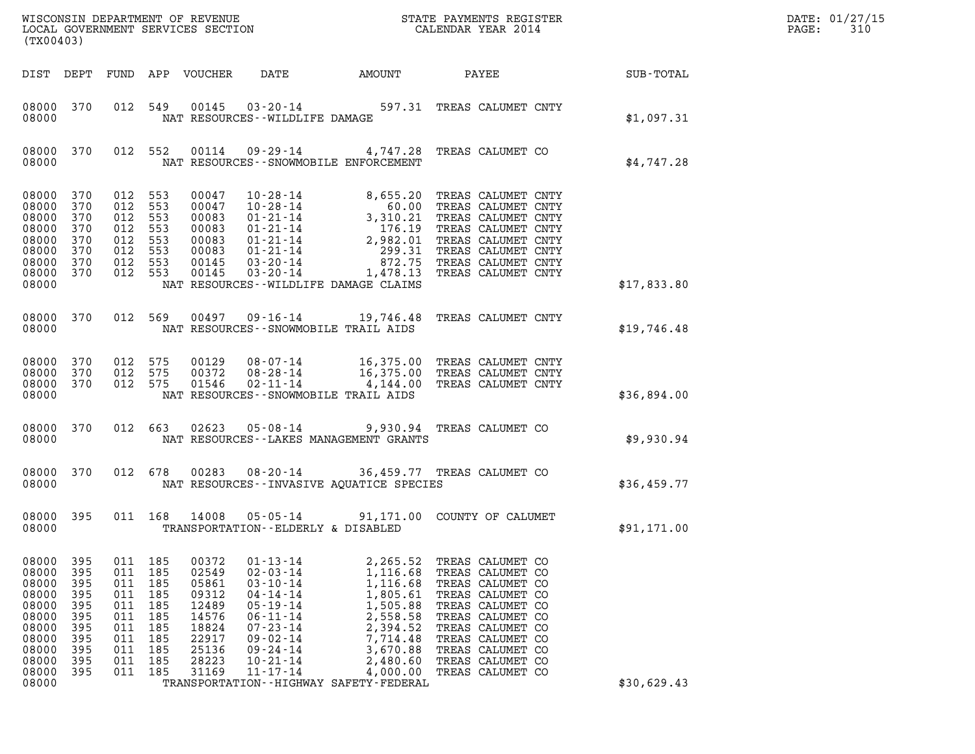| DATE: | 01/27/15 |
|-------|----------|
| PAGE: | 310      |

| (TX00403)                                                                                                |                                                                           |                                                                                      |                                                                    |                                                                                                 |                                                                                                                                                                                                    |                                                                                                                                                                                                                                                                                                   |                                                                                                                                                                                                                          |              | DATE: 01/27/15<br>$\mathtt{PAGE}$ :<br>310 |  |
|----------------------------------------------------------------------------------------------------------|---------------------------------------------------------------------------|--------------------------------------------------------------------------------------|--------------------------------------------------------------------|-------------------------------------------------------------------------------------------------|----------------------------------------------------------------------------------------------------------------------------------------------------------------------------------------------------|---------------------------------------------------------------------------------------------------------------------------------------------------------------------------------------------------------------------------------------------------------------------------------------------------|--------------------------------------------------------------------------------------------------------------------------------------------------------------------------------------------------------------------------|--------------|--------------------------------------------|--|
|                                                                                                          |                                                                           |                                                                                      |                                                                    | DIST DEPT FUND APP VOUCHER                                                                      | DATE                                                                                                                                                                                               | AMOUNT                                                                                                                                                                                                                                                                                            |                                                                                                                                                                                                                          | <b>PAYEE</b> | SUB-TOTAL                                  |  |
| 08000 370<br>08000                                                                                       |                                                                           |                                                                                      | 012 549                                                            |                                                                                                 |                                                                                                                                                                                                    | 00145  03-20-14  597.31  TREAS CALUMET CNTY<br>NAT RESOURCES--WILDLIFE DAMAGE                                                                                                                                                                                                                     |                                                                                                                                                                                                                          |              | \$1,097.31                                 |  |
| 08000                                                                                                    | 08000 370                                                                 |                                                                                      | 012 552                                                            | 00114                                                                                           |                                                                                                                                                                                                    | 09-29-14 4,747.28 TREAS CALUMET CO<br>NAT RESOURCES - - SNOWMOBILE ENFORCEMENT                                                                                                                                                                                                                    |                                                                                                                                                                                                                          |              | \$4,747.28                                 |  |
| 08000 370<br>08000<br>08000<br>08000<br>08000<br>08000<br>08000<br>08000 370<br>08000                    | 370<br>370<br>370<br>370<br>370<br>370                                    | 012 553<br>012 553<br>012 553<br>012 553<br>012 553<br>012 553<br>012 553<br>012 553 |                                                                    | 00047<br>00047<br>00083<br>00083<br>00083<br>00083<br>00145<br>00145                            |                                                                                                                                                                                                    | 10-28-14<br>10-28-14<br>10-28-14<br>01-21-14<br>60.00 TREAS CALUMET CNTY<br>01-21-14<br>3,310.21 TREAS CALUMET CNTY<br>01-21-14<br>2,982.01 TREAS CALUMET CNTY<br>01-21-14<br>299.31 TREAS CALUMET CNTY<br>03-20-14<br>872.75 TREAS CALUMET CNTY<br>03-2<br>NAT RESOURCES--WILDLIFE DAMAGE CLAIMS |                                                                                                                                                                                                                          |              | \$17,833.80                                |  |
| 08000 370<br>08000                                                                                       |                                                                           | 012 569                                                                              |                                                                    |                                                                                                 |                                                                                                                                                                                                    | 00497  09-16-14  19,746.48  TREAS CALUMET CNTY<br>NAT RESOURCES - - SNOWMOBILE TRAIL AIDS                                                                                                                                                                                                         |                                                                                                                                                                                                                          |              | \$19,746.48                                |  |
| 08000 370<br>08000 370<br>08000 370<br>08000                                                             |                                                                           | 012 575<br>012 575<br>012 575                                                        |                                                                    |                                                                                                 |                                                                                                                                                                                                    | 00129 08-07-14 16,375.00 TREAS CALUMET CNTY<br>00372 08-28-14 16,375.00 TREAS CALUMET CNTY<br>01546 02-11-14 4,144.00 TREAS CALUMET CNTY<br>NAT RESOURCES - - SNOWMOBILE TRAIL AIDS                                                                                                               |                                                                                                                                                                                                                          |              | \$36,894.00                                |  |
| 08000 370<br>08000                                                                                       |                                                                           | 012 663                                                                              |                                                                    |                                                                                                 |                                                                                                                                                                                                    | 02623  05-08-14  9,930.94  TREAS CALUMET CO<br>NAT RESOURCES--LAKES MANAGEMENT GRANTS                                                                                                                                                                                                             |                                                                                                                                                                                                                          |              | \$9,930.94                                 |  |
| 08000 370<br>08000                                                                                       |                                                                           |                                                                                      | 012 678                                                            |                                                                                                 |                                                                                                                                                                                                    | 00283 08-20-14 36,459.77 TREAS CALUMET CO<br>NAT RESOURCES--INVASIVE AQUATICE SPECIES                                                                                                                                                                                                             |                                                                                                                                                                                                                          |              | \$36,459.77                                |  |
| 08000 395<br>08000                                                                                       |                                                                           |                                                                                      | 011 168                                                            | 14008                                                                                           |                                                                                                                                                                                                    | 05-05-14 91,171.00 COUNTY OF CALUMET<br>TRANSPORTATION--ELDERLY & DISABLED                                                                                                                                                                                                                        |                                                                                                                                                                                                                          |              | \$91,171.00                                |  |
| 08000<br>08000<br>08000<br>08000<br>08000<br>08000<br>08000<br>08000<br>08000<br>08000<br>08000<br>08000 | 395<br>395<br>395<br>395<br>395<br>395<br>395<br>395<br>395<br>395<br>395 | 011<br>011<br>011<br>011<br>011<br>011<br>011<br>011<br>011<br>011<br>011 185        | 185<br>185<br>185<br>185<br>185<br>185<br>185<br>185<br>185<br>185 | 00372<br>02549<br>05861<br>09312<br>12489<br>14576<br>18824<br>22917<br>25136<br>28223<br>31169 | $01 - 13 - 14$<br>$02 - 03 - 14$<br>$03 - 10 - 14$<br>$04 - 14 - 14$<br>$05 - 19 - 14$<br>$06 - 11 - 14$<br>$07 - 23 - 14$<br>$09 - 02 - 14$<br>$09 - 24 - 14$<br>$10 - 21 - 14$<br>$11 - 17 - 14$ | 2,265.52<br>1,116.68<br>1,116.68<br>1,805.61<br>1,505.88<br>2,558.58<br>2,394.52<br>7,714.48<br>3,670.88<br>2,480.60<br>4,000.00<br>TRANSPORTATION - - HIGHWAY SAFETY - FEDERAL                                                                                                                   | TREAS CALUMET CO<br>TREAS CALUMET CO<br>TREAS CALUMET CO<br>TREAS CALUMET CO<br>TREAS CALUMET CO<br>TREAS CALUMET CO<br>TREAS CALUMET CO<br>TREAS CALUMET CO<br>TREAS CALUMET CO<br>TREAS CALUMET CO<br>TREAS CALUMET CO |              | \$30,629.43                                |  |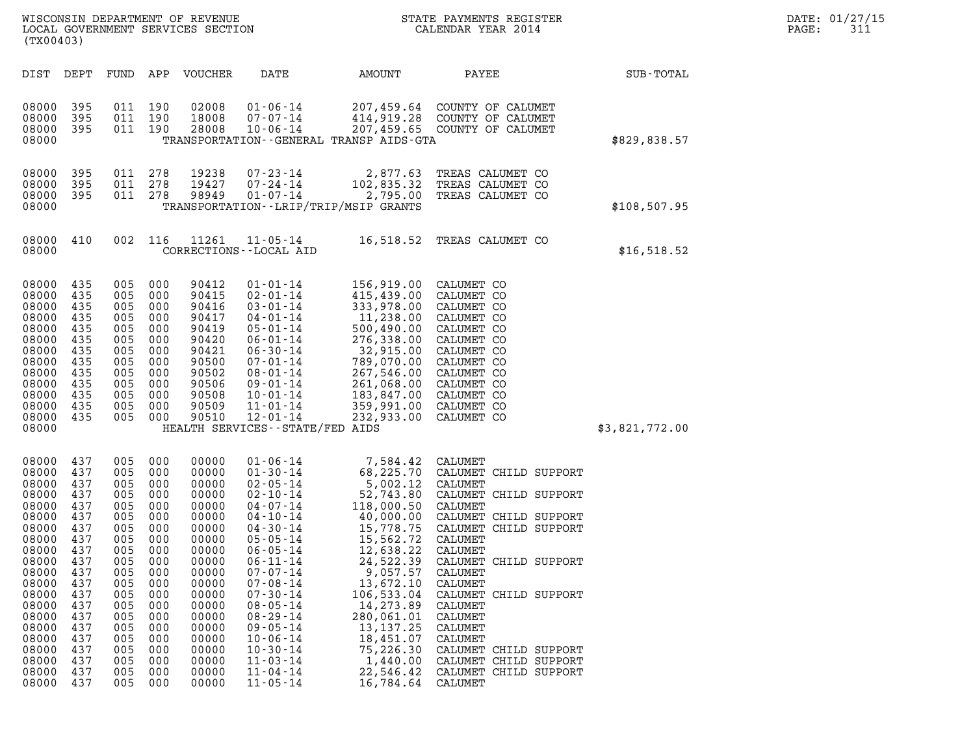| (TX00403)                                                                                                                                                                                 |                                                                                                                                                 |                                                                                                                                                 |                                                                                                                                                 | WISCONSIN DEPARTMENT OF REVENUE<br>LOCAL GOVERNMENT SERVICES SECTION                                                                                                                      |                                                                                                                                                                                                                                                                                                                                                                                  |                                                                                                                                                                                                                                                                                | STATE PAYMENTS REGISTER<br>CALENDAR YEAR 2014                                                                                                                                                                                                                                                                                                                            |                | DATE: 01/27/15<br>PAGE:<br>311 |
|-------------------------------------------------------------------------------------------------------------------------------------------------------------------------------------------|-------------------------------------------------------------------------------------------------------------------------------------------------|-------------------------------------------------------------------------------------------------------------------------------------------------|-------------------------------------------------------------------------------------------------------------------------------------------------|-------------------------------------------------------------------------------------------------------------------------------------------------------------------------------------------|----------------------------------------------------------------------------------------------------------------------------------------------------------------------------------------------------------------------------------------------------------------------------------------------------------------------------------------------------------------------------------|--------------------------------------------------------------------------------------------------------------------------------------------------------------------------------------------------------------------------------------------------------------------------------|--------------------------------------------------------------------------------------------------------------------------------------------------------------------------------------------------------------------------------------------------------------------------------------------------------------------------------------------------------------------------|----------------|--------------------------------|
| DIST DEPT                                                                                                                                                                                 |                                                                                                                                                 | FUND                                                                                                                                            | APP                                                                                                                                             | VOUCHER                                                                                                                                                                                   | DATE                                                                                                                                                                                                                                                                                                                                                                             | AMOUNT                                                                                                                                                                                                                                                                         | PAYEE                                                                                                                                                                                                                                                                                                                                                                    | SUB-TOTAL      |                                |
| 08000<br>08000<br>08000<br>08000                                                                                                                                                          | 395<br>395<br>395                                                                                                                               | 011                                                                                                                                             | 011 190<br>190<br>011 190                                                                                                                       | 02008<br>18008<br>28008                                                                                                                                                                   | $01 - 06 - 14$<br>$07 - 07 - 14$<br>$10 - 06 - 14$                                                                                                                                                                                                                                                                                                                               | 207,459.64<br>414,919.28<br>TRANSPORTATION - - GENERAL TRANSP AIDS - GTA                                                                                                                                                                                                       | COUNTY OF CALUMET<br>COUNTY OF CALUMET<br>207,459.65 COUNTY OF CALUMET                                                                                                                                                                                                                                                                                                   | \$829,838.57   |                                |
| 08000<br>08000<br>08000<br>08000                                                                                                                                                          | 395<br>395<br>395                                                                                                                               | 011<br>011                                                                                                                                      | 278<br>278<br>011 278                                                                                                                           | 19238<br>19427<br>98949                                                                                                                                                                   | 07-23-14<br>07-24-14<br>$01 - 07 - 14$                                                                                                                                                                                                                                                                                                                                           | 102,835.32<br>2,795.00<br>TRANSPORTATION - - LRIP/TRIP/MSIP GRANTS                                                                                                                                                                                                             | 2,877.63 TREAS CALUMET CO<br>TREAS CALUMET CO<br>TREAS CALUMET CO                                                                                                                                                                                                                                                                                                        | \$108,507.95   |                                |
| 08000<br>08000                                                                                                                                                                            | 410                                                                                                                                             |                                                                                                                                                 | 002 116                                                                                                                                         | 11261                                                                                                                                                                                     | $11 - 05 - 14$<br>CORRECTIONS - - LOCAL AID                                                                                                                                                                                                                                                                                                                                      |                                                                                                                                                                                                                                                                                | 16,518.52 TREAS CALUMET CO                                                                                                                                                                                                                                                                                                                                               | \$16,518.52    |                                |
| 08000<br>08000<br>08000<br>08000<br>08000<br>08000<br>08000<br>08000<br>08000<br>08000<br>08000<br>08000<br>08000<br>08000                                                                | 435<br>435<br>435<br>435<br>435<br>435<br>435<br>435<br>435<br>435<br>435<br>435<br>435                                                         | 005<br>005<br>005<br>005<br>005<br>005<br>005<br>005<br>005<br>005<br>005<br>005<br>005                                                         | 000<br>000<br>000<br>000<br>000<br>000<br>000<br>000<br>000<br>000<br>000<br>000<br>000                                                         | 90412<br>90415<br>90416<br>90417<br>90419<br>90420<br>90421<br>90500<br>90502<br>90506<br>90508<br>90509<br>90510                                                                         | $01 - 01 - 14$<br>$02 - 01 - 14$<br>$03 - 01 - 14$<br>$04 - 01 - 14$<br>$05 - 01 - 14$<br>$06 - 01 - 14$<br>$06 - 30 - 14$<br>$07 - 01 - 14$<br>$08 - 01 - 14$<br>$09 - 01 - 14$<br>10-01-14<br>$11 - 01 - 14$<br>$12 - 01 - 14$<br>HEALTH SERVICES - - STATE/FED AIDS                                                                                                           | 156,919.00<br>415,439.00<br>333,978.00<br>11,238.00<br>500,490.00<br>276,338.00<br>32,915.00<br>789,070.00<br>267,546.00<br>261,068.00<br>183,847.00<br>359,991.00<br>232,933.00                                                                                               | CALUMET CO<br>CALUMET CO<br>CALUMET CO<br>CALUMET CO<br>CALUMET CO<br>CALUMET CO<br>CALUMET CO<br>CALUMET CO<br>CALUMET CO<br>CALUMET CO<br>CALUMET CO<br>CALUMET CO<br>CALUMET CO                                                                                                                                                                                       | \$3,821,772.00 |                                |
| 08000<br>08000<br>08000<br>08000<br>08000<br>08000<br>08000<br>08000<br>08000<br>08000<br>08000<br>08000<br>08000<br>08000<br>08000<br>08000<br>08000<br>08000<br>08000<br>08000<br>08000 | 437<br>437<br>437<br>437<br>437<br>437<br>437<br>437<br>437<br>437<br>437<br>437<br>437<br>437<br>437<br>437<br>437<br>437<br>437<br>437<br>437 | 005<br>005<br>005<br>005<br>005<br>005<br>005<br>005<br>005<br>005<br>005<br>005<br>005<br>005<br>005<br>005<br>005<br>005<br>005<br>005<br>005 | 000<br>000<br>000<br>000<br>000<br>000<br>000<br>000<br>000<br>000<br>000<br>000<br>000<br>000<br>000<br>000<br>000<br>000<br>000<br>000<br>000 | 00000<br>00000<br>00000<br>00000<br>00000<br>00000<br>00000<br>00000<br>00000<br>00000<br>00000<br>00000<br>00000<br>00000<br>00000<br>00000<br>00000<br>00000<br>00000<br>00000<br>00000 | $01 - 06 - 14$<br>$01 - 30 - 14$<br>$02 - 05 - 14$<br>$02 - 10 - 14$<br>$04 - 07 - 14$<br>04-10-14<br>$04 - 30 - 14$<br>$05 - 05 - 14$<br>$06 - 05 - 14$<br>$06 - 11 - 14$<br>$07 - 07 - 14$<br>$07 - 08 - 14$<br>$07 - 30 - 14$<br>$08 - 05 - 14$<br>$08 - 29 - 14$<br>$09 - 05 - 14$<br>$10 - 06 - 14$<br>$10 - 30 - 14$<br>$11 - 03 - 14$<br>$11 - 04 - 14$<br>$11 - 05 - 14$ | 7,584.42<br>68,225.70<br>5,002.12<br>52,743.80<br>118,000.50<br>40,000.00<br>15,778.75<br>15,562.72<br>12,638.22<br>24,522.39<br>9,057.57<br>13,672.10<br>106,533.04<br>14,273.89<br>280,061.01<br>13, 137. 25<br>18,451.07<br>75,226.30<br>1,440.00<br>22,546.42<br>16,784.64 | CALUMET<br>CALUMET CHILD SUPPORT<br>CALUMET<br>CALUMET CHILD SUPPORT<br>CALUMET<br>CALUMET CHILD SUPPORT<br>CALUMET CHILD SUPPORT<br>CALUMET<br>CALUMET<br>CALUMET CHILD SUPPORT<br>CALUMET<br>CALUMET<br>CALUMET CHILD SUPPORT<br><b>CALUMET</b><br>CALUMET<br>CALUMET<br>CALUMET<br>CALUMET CHILD SUPPORT<br>CALUMET CHILD SUPPORT<br>CALUMET CHILD SUPPORT<br>CALUMET |                |                                |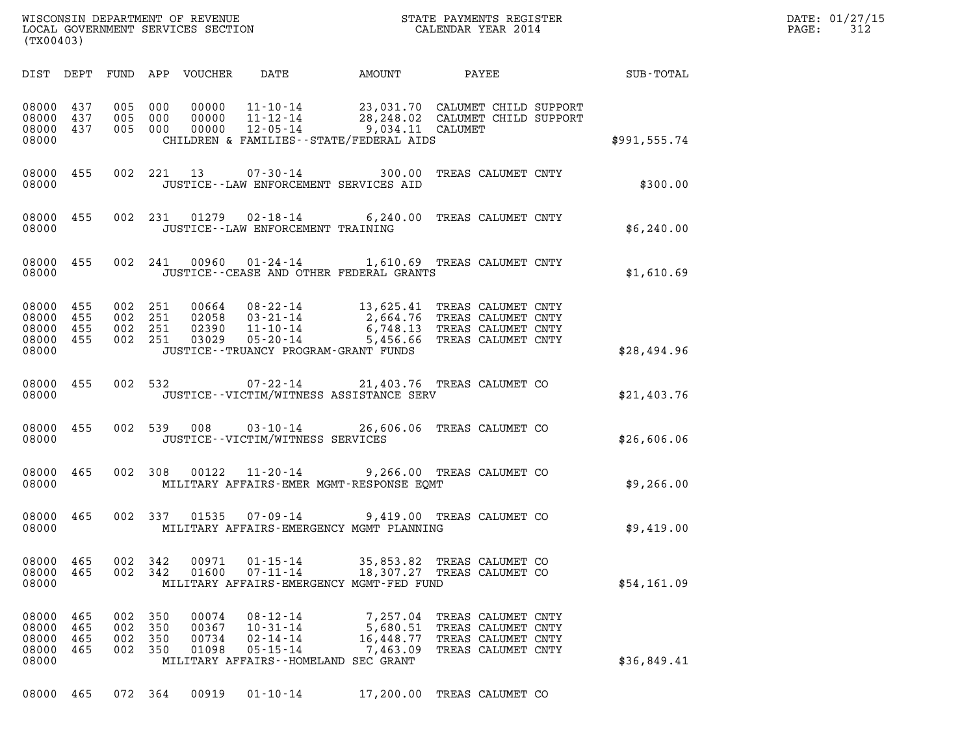| WISCONSIN DEPARTMENT OF REVENUE   | STATE PAYMENTS REGISTER | DATE: 01/27/15 |
|-----------------------------------|-------------------------|----------------|
| LOCAL GOVERNMENT SERVICES SECTION | CALENDAR YEAR 2014      | PAGE:          |

| (TX00403)                                    |                          |                          |                          |                                  |                                                                                                                | WISCONSIN DEPARTMENT OF REVENUE<br>LOCAL GOVERNMENT SERVICES SECTION THE STATE PAYMENTS REGISTER<br>(TWARAGO)                                                                                                                                                                                                                                                                              |                                                                                      | $\mathbb{R}^n$ | DATE: 01/27/15<br>PAGE: 312 |
|----------------------------------------------|--------------------------|--------------------------|--------------------------|----------------------------------|----------------------------------------------------------------------------------------------------------------|--------------------------------------------------------------------------------------------------------------------------------------------------------------------------------------------------------------------------------------------------------------------------------------------------------------------------------------------------------------------------------------------|--------------------------------------------------------------------------------------|----------------|-----------------------------|
|                                              |                          |                          |                          |                                  |                                                                                                                | DIST DEPT FUND APP VOUCHER DATE AMOUNT PAYEE TOTAL                                                                                                                                                                                                                                                                                                                                         |                                                                                      |                |                             |
| 08000 437<br>08000                           | 08000 437<br>08000 437   | 005 000<br>005 000       | 005 000                  |                                  |                                                                                                                | 00000  11-10-14  23,031.70  CALUMET CHILD SUPPORT<br>00000  11-12-14  28,248.02  CALUMET CHILD SUPPORT<br>00000  12-05-14  9,034.11  CALUMET<br>EXECUTION A STRIT STATE CALUMET CALUME AND A \$991,555.74<br>CHILDREN & FAMILIES - STATE/FEDERAL AIDS                                                                                                                                      |                                                                                      |                |                             |
| 08000                                        | 08000 455                |                          |                          |                                  |                                                                                                                | 002 221 13 07-30-14 300.00 TREAS CALUMET CNTY<br>JUSTICE -- LAW ENFORCEMENT SERVICES AID                                                                                                                                                                                                                                                                                                   |                                                                                      | \$300.00       |                             |
| 08000                                        | 08000 455                |                          |                          |                                  |                                                                                                                | 002 231 01279 02-18-14 6,240.00 TREAS CALUMET CNTY<br>JUSTICE -- LAW ENFORCEMENT TRAINING                                                                                                                                                                                                                                                                                                  |                                                                                      | \$6,240.00     |                             |
|                                              |                          |                          |                          |                                  |                                                                                                                | 08000 455 002 241 00960 01-24-14 1,610.69 TREAS CALUMET CNTY<br>08000 JUSTICE--CEASE AND OTHER FEDERAL GRANTS                                                                                                                                                                                                                                                                              |                                                                                      | \$1,610.69     |                             |
| 08000 455<br>08000 455<br>08000 455<br>08000 | 08000 455                |                          |                          |                                  |                                                                                                                | $\begin{array}{cccc} 002 & 251 & 00664 & 08\text{-}22\text{-}14 & 13,625.41 & \text{TREAS CALUMET CNTY} \\ 002 & 251 & 02058 & 03\text{-}21\text{-}14 & 2,664.76 & \text{TREAS CALUMET CNTY} \\ 002 & 251 & 02390 & 11\text{-}10\text{-}14 & 6,748.13 & \text{TREAS CALUMET CNTY} \\ 002 & 251 & 03029 & 05\text{-}20\text{-}14 & 5,456.66 &$<br>JUSTICE - - TRUANCY PROGRAM - GRANT FUNDS |                                                                                      | \$28,494.96    |                             |
| 08000                                        | 08000 455                |                          |                          |                                  |                                                                                                                | 002 532 07-22-14 21,403.76 TREAS CALUMET CO<br>JUSTICE - - VICTIM/WITNESS ASSISTANCE SERV                                                                                                                                                                                                                                                                                                  |                                                                                      | \$21,403.76    |                             |
| 08000                                        | 08000 455                |                          |                          |                                  | JUSTICE - - VICTIM/WITNESS SERVICES                                                                            | 002 539 008 03-10-14 26,606.06 TREAS CALUMET CO                                                                                                                                                                                                                                                                                                                                            |                                                                                      | \$26,606.06    |                             |
| 08000                                        | 08000 465                |                          |                          |                                  |                                                                                                                | 002 308 00122 11-20-14 9,266.00 TREAS CALUMET CO<br>MILITARY AFFAIRS-EMER MGMT-RESPONSE EOMT                                                                                                                                                                                                                                                                                               |                                                                                      | \$9,266.00     |                             |
| 08000                                        | 08000 465                |                          |                          |                                  |                                                                                                                | 002 337 01535 07-09-14 9,419.00 TREAS CALUMET CO<br>MILITARY AFFAIRS-EMERGENCY MGMT PLANNING                                                                                                                                                                                                                                                                                               |                                                                                      | \$9,419.00     |                             |
| 08000<br>08000<br>08000                      | 465<br>465               | 002<br>002               | 342<br>342               | 00971<br>01600                   | $01 - 15 - 14$<br>$07 - 11 - 14$                                                                               | 35,853.82<br>18,307.27<br>MILITARY AFFAIRS-EMERGENCY MGMT-FED FUND                                                                                                                                                                                                                                                                                                                         | TREAS CALUMET CO<br>TREAS CALUMET CO                                                 | \$54,161.09    |                             |
| 08000<br>08000<br>08000<br>08000<br>08000    | 465<br>465<br>465<br>465 | 002<br>002<br>002<br>002 | 350<br>350<br>350<br>350 | 00074<br>00367<br>00734<br>01098 | $08 - 12 - 14$<br>$10 - 31 - 14$<br>$02 - 14 - 14$<br>$05 - 15 - 14$<br>MILITARY AFFAIRS -- HOMELAND SEC GRANT | 7,257.04<br>5,680.51<br>16,448.77<br>7,463.09                                                                                                                                                                                                                                                                                                                                              | TREAS CALUMET CNTY<br>TREAS CALUMET CNTY<br>TREAS CALUMET CNTY<br>TREAS CALUMET CNTY | \$36,849.41    |                             |
| 08000 465                                    |                          | 072 364                  |                          | 00919                            | $01 - 10 - 14$                                                                                                 |                                                                                                                                                                                                                                                                                                                                                                                            | 17,200.00 TREAS CALUMET CO                                                           |                |                             |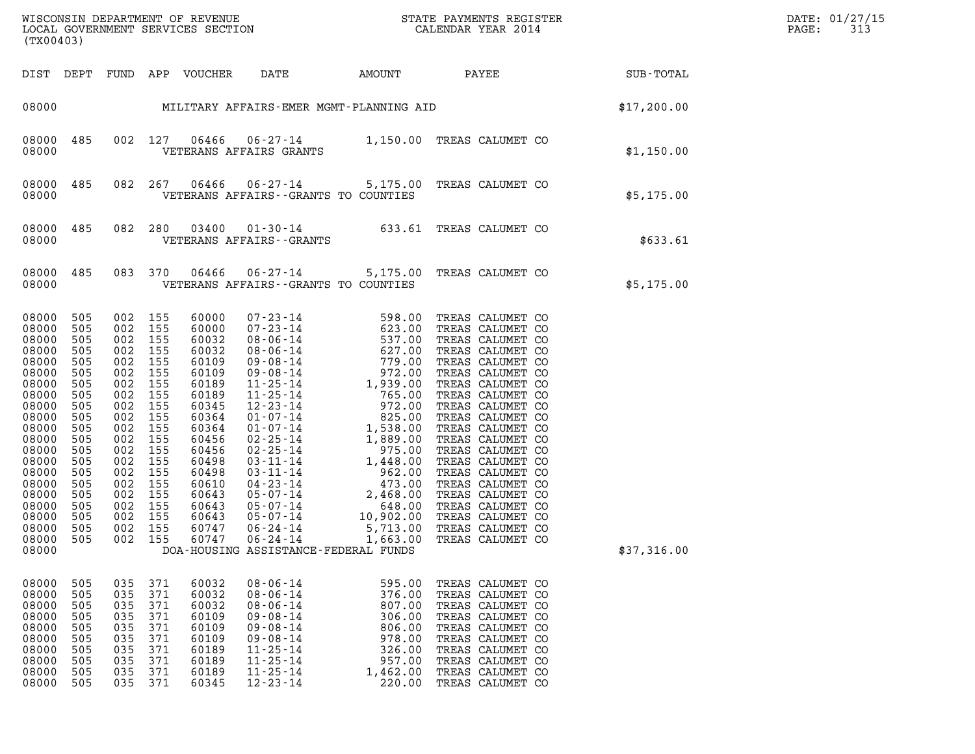| (TX00403)                                                                                                                                                                        |                                                                                                                                          |                                                                                                                                                                                                                          |                                                                                                                                                                                  |                                                                                                                                                                                                                                                                                                                                                                                          |                                                                                                                                                                                                                                                                                                                                                                                                                     |             | DATE: 01/27/15<br>PAGE:<br>313 |
|----------------------------------------------------------------------------------------------------------------------------------------------------------------------------------|------------------------------------------------------------------------------------------------------------------------------------------|--------------------------------------------------------------------------------------------------------------------------------------------------------------------------------------------------------------------------|----------------------------------------------------------------------------------------------------------------------------------------------------------------------------------|------------------------------------------------------------------------------------------------------------------------------------------------------------------------------------------------------------------------------------------------------------------------------------------------------------------------------------------------------------------------------------------|---------------------------------------------------------------------------------------------------------------------------------------------------------------------------------------------------------------------------------------------------------------------------------------------------------------------------------------------------------------------------------------------------------------------|-------------|--------------------------------|
|                                                                                                                                                                                  |                                                                                                                                          |                                                                                                                                                                                                                          |                                                                                                                                                                                  | DIST DEPT FUND APP VOUCHER DATE                                                                                                                                                                                                                                                                                                                                                          | AMOUNT PAYEE SUB-TOTAL                                                                                                                                                                                                                                                                                                                                                                                              |             |                                |
|                                                                                                                                                                                  |                                                                                                                                          |                                                                                                                                                                                                                          |                                                                                                                                                                                  | 08000 MILITARY AFFAIRS-EMER MGMT-PLANNING AID                                                                                                                                                                                                                                                                                                                                            |                                                                                                                                                                                                                                                                                                                                                                                                                     | \$17,200.00 |                                |
| 08000 485<br>08000                                                                                                                                                               |                                                                                                                                          |                                                                                                                                                                                                                          |                                                                                                                                                                                  | VETERANS AFFAIRS GRANTS                                                                                                                                                                                                                                                                                                                                                                  | 002 127 06466 06-27-14 1,150.00 TREAS CALUMET CO                                                                                                                                                                                                                                                                                                                                                                    | \$1,150.00  |                                |
| 08000                                                                                                                                                                            |                                                                                                                                          |                                                                                                                                                                                                                          |                                                                                                                                                                                  | VETERANS AFFAIRS--GRANTS TO COUNTIES                                                                                                                                                                                                                                                                                                                                                     | 08000 485 082 267 06466 06-27-14 5,175.00 TREAS CALUMET CO                                                                                                                                                                                                                                                                                                                                                          | \$5,175.00  |                                |
| 08000 485<br>08000                                                                                                                                                               |                                                                                                                                          |                                                                                                                                                                                                                          |                                                                                                                                                                                  | VETERANS AFFAIRS - - GRANTS                                                                                                                                                                                                                                                                                                                                                              | 082 280 03400 01-30-14 633.61 TREAS CALUMET CO                                                                                                                                                                                                                                                                                                                                                                      | \$633.61    |                                |
| 08000                                                                                                                                                                            |                                                                                                                                          |                                                                                                                                                                                                                          |                                                                                                                                                                                  | VETERANS AFFAIRS -- GRANTS TO COUNTIES                                                                                                                                                                                                                                                                                                                                                   | 08000 485 083 370 06466 06-27-14 5,175.00 TREAS CALUMET CO                                                                                                                                                                                                                                                                                                                                                          | \$5,175.00  |                                |
| 08000<br>08000<br>08000<br>08000<br>08000<br>08000<br>08000<br>08000<br>08000<br>08000<br>08000<br>08000<br>08000<br>08000<br>08000<br>08000<br>08000<br>08000<br>08000<br>08000 | 505<br>505<br>505<br>505<br>505<br>505<br>505<br>505<br>505<br>505<br>505<br>505<br>505<br>505<br>505<br>505<br>505<br>505<br>505<br>505 | 002 155<br>002 155<br>002 155<br>002 155<br>002 155<br>002 155<br>002 155<br>002 155<br>002 155<br>002 155<br>002 155<br>002 155<br>002 155<br>002 155<br>002 155<br>002 155<br>002 155<br>002 155<br>002 155<br>002 155 | 60000<br>60000<br>60032<br>60032<br>60109<br>60109<br>60189<br>60189<br>60345<br>60364<br>60364<br>60456<br>60456<br>60498<br>60498<br>60610<br>60643<br>60643<br>60643<br>60747 | $\begin{array}{cccc} 07\,\texttt{-}\,23\,\texttt{-}\,14 & 598\,\texttt{-}\,00 \\ 07\,\texttt{-}\,23\,\texttt{-}\,14 & 623\,\texttt{-}\,00 \\ 08\,\texttt{-}\,06\,\texttt{-}\,14 & 537\,\texttt{-}\,00 \\ 09\,\texttt{-}\,08\,\texttt{-}\,14 & 779\,\texttt{-}\,00 \\ 09\,\texttt{-}\,08\,\texttt{-}\,14 & 779\,\texttt{-}\,00 \\ 09\,\texttt{-}\,08\,\texttt{-}\,14 & 779\,\texttt{-}\,$ | 598.00 TREAS CALUMET CO<br>TREAS CALUMET CO<br>TREAS CALUMET CO<br>TREAS CALUMET CO<br>TREAS CALUMET CO<br>TREAS CALUMET CO<br>TREAS CALUMET CO<br>TREAS CALUMET CO<br>TREAS CALUMET CO<br>TREAS CALUMET CO<br>TREAS CALUMET CO<br>TREAS CALUMET CO<br>TREAS CALUMET CO<br>TREAS CALUMET CO<br>TREAS CALUMET CO<br>TREAS CALUMET CO<br>TREAS CALUMET CO<br>TREAS CALUMET CO<br>TREAS CALUMET CO<br>TREAS CALUMET CO |             |                                |

| 08000 | 505 | 002 | 155 | 60643 | $05 - 07 - 14$ | 2,468.00                             | TREAS CALUMET CO |             |
|-------|-----|-----|-----|-------|----------------|--------------------------------------|------------------|-------------|
| 08000 | 505 | 002 | 155 | 60643 | 05-07-14       | 648.00                               | TREAS CALUMET CO |             |
| 08000 | 505 | 002 | 155 | 60643 | 05-07-14       | 10,902.00                            | TREAS CALUMET CO |             |
| 08000 | 505 | 002 | 155 | 60747 | 06-24-14       | 5,713.00                             | TREAS CALUMET CO |             |
| 08000 | 505 | 002 | 155 | 60747 | 06-24-14       | 1,663.00                             | TREAS CALUMET CO |             |
| 08000 |     |     |     |       |                | DOA-HOUSING ASSISTANCE-FEDERAL FUNDS |                  | \$37,316.00 |
|       |     |     |     |       |                |                                      |                  |             |
|       |     |     |     |       |                |                                      |                  |             |
| 08000 | 505 | 035 | 371 | 60032 | 08-06-14       | 595.00                               | TREAS CALUMET CO |             |
| 08000 | 505 | 035 | 371 | 60032 | 08-06-14       | 376.00                               | TREAS CALUMET CO |             |
| 08000 | 505 | 035 | 371 | 60032 | 08-06-14       | 807.00                               | TREAS CALUMET CO |             |
| 08000 | 505 | 035 | 371 | 60109 | 09-08-14       | 306.00                               | TREAS CALUMET CO |             |
| 08000 | 505 | 035 | 371 | 60109 | 09-08-14       | 806.00                               | TREAS CALUMET CO |             |
| 08000 | 505 | 035 | 371 | 60109 | 09-08-14       | 978.00                               | TREAS CALUMET CO |             |
| 08000 | 505 | 035 | 371 | 60189 | 11-25-14       | 326.00                               | TREAS CALUMET CO |             |
| 08000 | 505 | 035 | 371 | 60189 | 11-25-14       | 957.00                               | TREAS CALUMET CO |             |
| 08000 | 505 | 035 | 371 | 60189 | 11-25-14       | 1,462.00                             | TREAS CALUMET CO |             |
| 08000 | 505 | 035 | 371 | 60345 | 12-23-14       | 220.00                               | TREAS CALUMET CO |             |
|       |     |     |     |       |                |                                      |                  |             |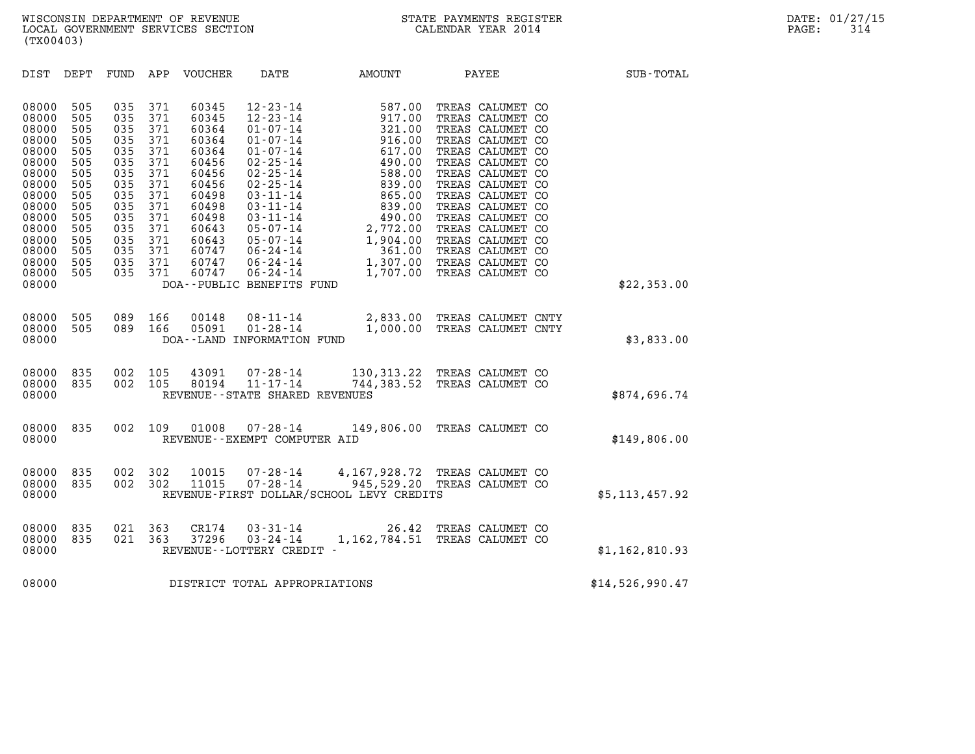| (TX00403)                                                                                                                                             |                                                                                                              |                                                                                                              |                                                                                                              |                                                                                                                                              |                                                                                                                     |                                                                                                                                                                                                                                                                                                                                  |                                                                                                  |                 |  |
|-------------------------------------------------------------------------------------------------------------------------------------------------------|--------------------------------------------------------------------------------------------------------------|--------------------------------------------------------------------------------------------------------------|--------------------------------------------------------------------------------------------------------------|----------------------------------------------------------------------------------------------------------------------------------------------|---------------------------------------------------------------------------------------------------------------------|----------------------------------------------------------------------------------------------------------------------------------------------------------------------------------------------------------------------------------------------------------------------------------------------------------------------------------|--------------------------------------------------------------------------------------------------|-----------------|--|
| DIST                                                                                                                                                  | DEPT                                                                                                         | FUND                                                                                                         | APP                                                                                                          | VOUCHER                                                                                                                                      | DATE                                                                                                                | AMOUNT                                                                                                                                                                                                                                                                                                                           | PAYEE                                                                                            | SUB-TOTAL       |  |
| 08000<br>08000<br>08000<br>08000<br>08000<br>08000<br>08000<br>08000<br>08000<br>08000<br>08000<br>08000<br>08000<br>08000<br>08000<br>08000<br>08000 | 505<br>505<br>505<br>505<br>505<br>505<br>505<br>505<br>505<br>505<br>505<br>505<br>505<br>505<br>505<br>505 | 035<br>035<br>035<br>035<br>035<br>035<br>035<br>035<br>035<br>035<br>035<br>035<br>035<br>035<br>035<br>035 | 371<br>371<br>371<br>371<br>371<br>371<br>371<br>371<br>371<br>371<br>371<br>371<br>371<br>371<br>371<br>371 | 60345<br>60345<br>60364<br>60364<br>60364<br>60456<br>60456<br>60456<br>60498<br>60498<br>60498<br>60643<br>60643<br>60747<br>60747<br>60747 | $12 - 23 - 14$<br>$12 - 23 - 14$<br>$01 - 07 - 14$<br>$01 - 07 - 14$<br>$01 - 07 - 14$<br>DOA--PUBLIC BENEFITS FUND | 587.00<br>917.00<br>321.00<br>916.00<br>916.00<br>617.00<br>490.00<br>1-07-14<br>2-25-14<br>32-25-14<br>32-25-14<br>339.00 TREAS CALUMET CO<br>3-11-14<br>339.00 TREAS CALUMET CO<br>3-11-14<br>490.00 TREAS CALUMET CO<br>05-07-14<br>2,772.00 TREAS CALUMET CO<br>05-07-14<br>1,904.00 TREAS CALUMET CO<br>06-24-14<br>1,307.0 | TREAS CALUMET CO<br>TREAS CALUMET CO<br>TREAS CALUMET CO<br>TREAS CALUMET CO<br>TREAS CALUMET CO | \$22,353.00     |  |
| 08000<br>08000<br>08000                                                                                                                               | 505<br>505                                                                                                   | 089<br>089                                                                                                   | 166<br>166                                                                                                   | 00148<br>05091                                                                                                                               | DOA--LAND INFORMATION FUND                                                                                          | 08-11-14 2,833.00 TREAS CALUMET CNTY<br>01-28-14 1,000.00 TREAS CALUMET CNTY                                                                                                                                                                                                                                                     |                                                                                                  | \$3,833.00      |  |
| 08000<br>08000<br>08000                                                                                                                               | 835<br>835                                                                                                   | 002<br>002                                                                                                   | 105<br>105                                                                                                   | 43091                                                                                                                                        | $07 - 28 - 14$<br>80194 11-17-14<br>REVENUE - - STATE SHARED REVENUES                                               |                                                                                                                                                                                                                                                                                                                                  | 130, 313.22 TREAS CALUMET CO<br>744,383.52 TREAS CALUMET CO                                      | \$874,696.74    |  |
| 08000<br>08000                                                                                                                                        | 835                                                                                                          | 002                                                                                                          | 109                                                                                                          |                                                                                                                                              | 01008  07-28-14<br>REVENUE - - EXEMPT COMPUTER AID                                                                  |                                                                                                                                                                                                                                                                                                                                  | 149,806.00 TREAS CALUMET CO                                                                      | \$149,806.00    |  |
| 08000<br>08000<br>08000                                                                                                                               | 835<br>835                                                                                                   | 002<br>002                                                                                                   | 302<br>302                                                                                                   | 10015<br>11015                                                                                                                               |                                                                                                                     | 07-28-14   4,167,928.72 TREAS CALUMET CO<br>07-28-14   945,529.20 TREAS CALUMET CO<br>REVENUE-FIRST DOLLAR/SCHOOL LEVY CREDITS                                                                                                                                                                                                   |                                                                                                  | \$5,113,457.92  |  |
| 08000<br>08000<br>08000                                                                                                                               | 835<br>835                                                                                                   | 021<br>021                                                                                                   | 363<br>363                                                                                                   | CR174<br>37296                                                                                                                               | $03 - 31 - 14$<br>$03 - 24 - 14$<br>REVENUE - - LOTTERY CREDIT -                                                    | 26.42                                                                                                                                                                                                                                                                                                                            | TREAS CALUMET CO<br>1,162,784.51 TREAS CALUMET CO                                                | \$1,162,810.93  |  |
| 08000                                                                                                                                                 |                                                                                                              |                                                                                                              |                                                                                                              |                                                                                                                                              | DISTRICT TOTAL APPROPRIATIONS                                                                                       |                                                                                                                                                                                                                                                                                                                                  |                                                                                                  | \$14,526,990.47 |  |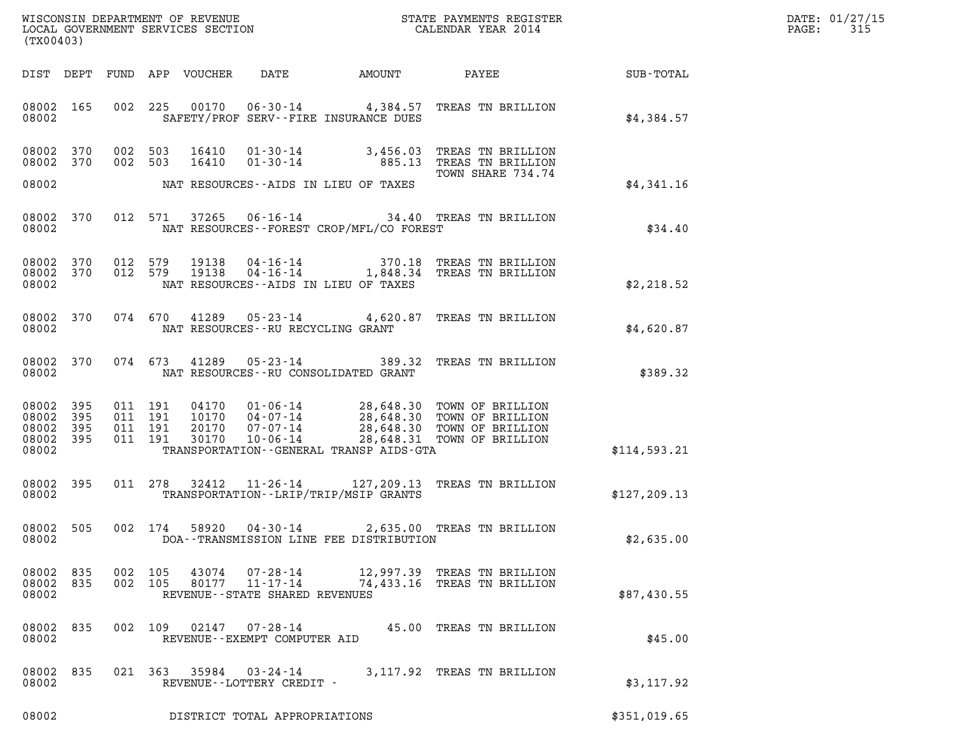|       | DATE: 01/27/15 |
|-------|----------------|
| PAGE: | 315            |

| (TX00403)                                                                                                                                                                                                                                                                                                                                    |                                          | DATE: 01/27/15<br>315<br>$\mathtt{PAGE}$ : |
|----------------------------------------------------------------------------------------------------------------------------------------------------------------------------------------------------------------------------------------------------------------------------------------------------------------------------------------------|------------------------------------------|--------------------------------------------|
| DIST DEPT FUND APP VOUCHER<br>DATE AMOUNT                                                                                                                                                                                                                                                                                                    | <b>PAYEE</b> FOR THE PAYEE<br>SUB-TOTAL  |                                            |
| 08002 165<br>002 225 00170 06-30-14 4,384.57 TREAS TN BRILLION<br>08002<br>SAFETY/PROF SERV--FIRE INSURANCE DUES                                                                                                                                                                                                                             | \$4,384.57                               |                                            |
| 08002 370<br>002 503<br>16410<br>$01 - 30 - 14$ 3,456.03<br>885.13 TREAS TN BRILLION<br>08002 370<br>002 503<br>16410<br>01-30-14                                                                                                                                                                                                            | TREAS TN BRILLION                        |                                            |
| 08002<br>NAT RESOURCES--AIDS IN LIEU OF TAXES                                                                                                                                                                                                                                                                                                | TOWN SHARE 734.74<br>\$4,341.16          |                                            |
| 08002 370<br>012 571 37265<br>06-16-14 34.40 TREAS TN BRILLION<br>NAT RESOURCES - - FOREST CROP/MFL/CO FOREST<br>08002                                                                                                                                                                                                                       | \$34.40                                  |                                            |
| 04-16-14 370.18 TREAS TN BRILLION<br>04-16-14 1,848.34 TREAS TN BRILLION<br>08002 370<br>012 579<br>19138<br>012 579<br>08002 370<br>19138<br>08002<br>NAT RESOURCES--AIDS IN LIEU OF TAXES                                                                                                                                                  | \$2,218.52                               |                                            |
| 05-23-14 4,620.87 TREAS TN BRILLION<br>08002 370<br>074 670 41289<br>08002<br>NAT RESOURCES -- RU RECYCLING GRANT                                                                                                                                                                                                                            | \$4,620.87                               |                                            |
| 05-23-14 389.32 TREAS TN BRILLION<br>08002 370<br>074 673<br>41289<br>NAT RESOURCES - - RU CONSOLIDATED GRANT<br>08002                                                                                                                                                                                                                       | \$389.32                                 |                                            |
| 04170  01-06-14  28,648.30 TOWN OF BRILLION<br>10170  04-07-14  28,648.30 TOWN OF BRILLION<br>20170  07-07-14  28,648.30 TOWN OF BRILLION<br>30170  10-06-14  28,648.31 TOWN OF BRILLION<br>08002 395<br>011 191<br>011 191<br>08002 395<br>08002 395<br>011 191<br>08002 395<br>011 191<br>08002<br>TRANSPORTATION--GENERAL TRANSP AIDS-GTA | \$114,593.21                             |                                            |
| 08002 395<br>011 278 32412<br>11-26-14 127,209.13 TREAS TN BRILLION<br>08002<br>TRANSPORTATION - - LRIP/TRIP/MSIP GRANTS                                                                                                                                                                                                                     | \$127, 209.13                            |                                            |
| 08002 505<br>002 174<br>58920 04-30-14<br>08002<br>DOA--TRANSMISSION LINE FEE DISTRIBUTION                                                                                                                                                                                                                                                   | 2,635.00 TREAS TN BRILLION<br>\$2,635.00 |                                            |
| 08002 835<br>002 105<br>43074  07-28-14  12,997.39  TREAS TN BRILLION<br>80177  11-17-14  74,433.16  TREAS TN BRILLION<br>08002 835<br>002 105<br>08002<br>REVENUE--STATE SHARED REVENUES                                                                                                                                                    | \$87,430.55                              |                                            |
| 08002 835<br>002 109 02147 07-28-14<br>08002<br>REVENUE--EXEMPT COMPUTER AID                                                                                                                                                                                                                                                                 | 45.00 TREAS TN BRILLION<br>\$45.00       |                                            |
| 08002 835<br>021 363 35984 03-24-14<br>08002<br>REVENUE--LOTTERY CREDIT -                                                                                                                                                                                                                                                                    | 3,117.92 TREAS TN BRILLION<br>\$3,117.92 |                                            |
| 08002<br>DISTRICT TOTAL APPROPRIATIONS                                                                                                                                                                                                                                                                                                       | \$351,019.65                             |                                            |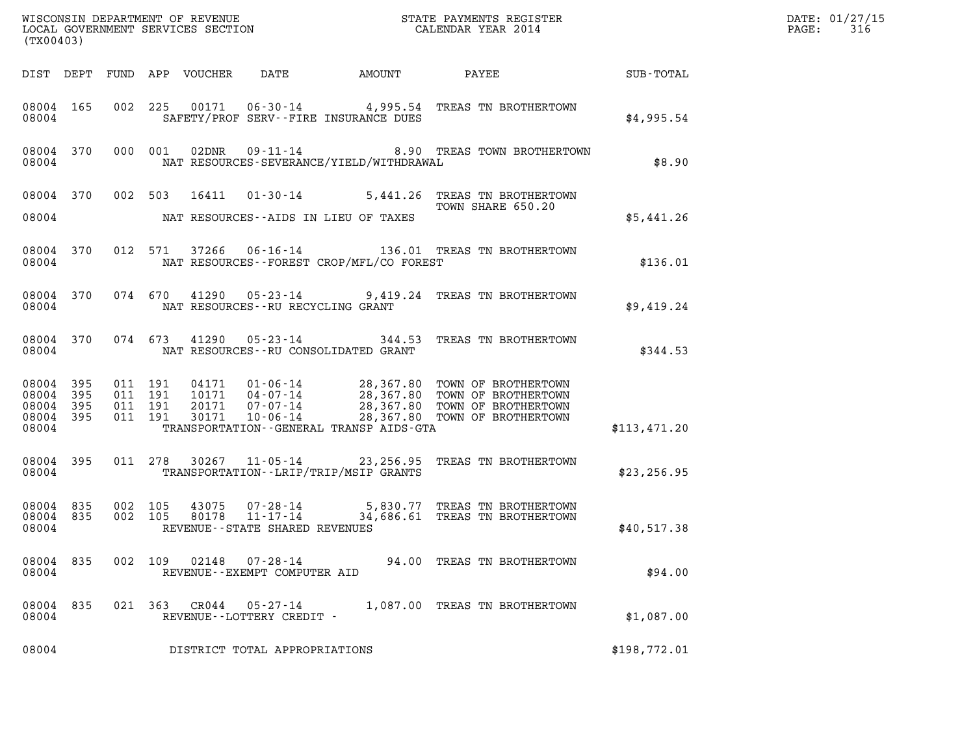| (TX00403)                       |                        |                               |         |                                 |                                             |                                             | WISCONSIN DEPARTMENT OF REVENUE<br>LOCAL GOVERNMENT SERVICES SECTION<br>(TWO0400)                                                                                                                            |              | DATE: 01/27/15<br>$\mathtt{PAGE}$ :<br>316 |
|---------------------------------|------------------------|-------------------------------|---------|---------------------------------|---------------------------------------------|---------------------------------------------|--------------------------------------------------------------------------------------------------------------------------------------------------------------------------------------------------------------|--------------|--------------------------------------------|
|                                 |                        |                               |         | DIST DEPT FUND APP VOUCHER DATE |                                             | AMOUNT                                      | PAYEE SUB-TOTAL                                                                                                                                                                                              |              |                                            |
| 08004                           | 08004 165              |                               |         |                                 |                                             | SAFETY/PROF SERV--FIRE INSURANCE DUES       | 002 225 00171 06-30-14 4,995.54 TREAS TN BROTHERTOWN                                                                                                                                                         | \$4,995.54   |                                            |
| 08004                           | 08004 370              |                               | 000 001 |                                 |                                             | NAT RESOURCES-SEVERANCE/YIELD/WITHDRAWAL    | 02DNR  09-11-14  8.90 TREAS TOWN BROTHERTOWN                                                                                                                                                                 | \$8.90       |                                            |
|                                 |                        |                               |         |                                 |                                             |                                             | 08004 370 002 503 16411 01-30-14 5,441.26 TREAS TN BROTHERTOWN<br>TOWN SHARE 650.20                                                                                                                          |              |                                            |
| 08004                           |                        |                               |         |                                 |                                             | NAT RESOURCES--AIDS IN LIEU OF TAXES        |                                                                                                                                                                                                              | \$5,441.26   |                                            |
| 08004                           | 08004 370              |                               |         |                                 |                                             | NAT RESOURCES - - FOREST CROP/MFL/CO FOREST | 012 571 37266 06-16-14 136.01 TREAS TN BROTHERTOWN                                                                                                                                                           | \$136.01     |                                            |
| 08004                           |                        |                               |         |                                 |                                             | NAT RESOURCES--RU RECYCLING GRANT           | 08004 370 074 670 41290 05-23-14 9,419.24 TREAS TN BROTHERTOWN                                                                                                                                               | \$9,419.24   |                                            |
| 08004                           |                        |                               |         |                                 |                                             | NAT RESOURCES--RU CONSOLIDATED GRANT        | 08004 370 074 673 41290 05-23-14 344.53 TREAS TN BROTHERTOWN                                                                                                                                                 | \$344.53     |                                            |
| 08004 395<br>08004 395<br>08004 | 08004 395<br>08004 395 | 011 191<br>011 191<br>011 191 | 011 191 |                                 |                                             | TRANSPORTATION--GENERAL TRANSP AIDS-GTA     | 04171   01-06-14   28,367.80 TOWN OF BROTHERTOWN<br>10171   04-07-14   28,367.80 TOWN OF BROTHERTOWN<br>20171   07-07-14   28,367.80 TOWN OF BROTHERTOWN<br>30171   10-06-14   28,367.80 TOWN OF BROTHERTOWN | \$113,471.20 |                                            |
| 08004                           | 08004 395              |                               |         |                                 |                                             | TRANSPORTATION - - LRIP/TRIP/MSIP GRANTS    | 011 278 30267 11-05-14 23,256.95 TREAS TN BROTHERTOWN                                                                                                                                                        | \$23, 256.95 |                                            |
| 08004                           | 08004 835              | 08004 835 002 105<br>002 105  |         |                                 | REVENUE--STATE SHARED REVENUES              |                                             | 43075  07-28-14  5,830.77  TREAS TN BROTHERTOWN<br>80178  11-17-14  34,686.61  TREAS TN BROTHERTOWN                                                                                                          | \$40,517.38  |                                            |
| 08004 835<br>08004              |                        | 002 109                       |         | 02148                           | 07-28-14<br>REVENUE--EXEMPT COMPUTER AID    |                                             | 94.00 TREAS TN BROTHERTOWN                                                                                                                                                                                   | \$94.00      |                                            |
| 08004<br>08004                  | 835                    |                               | 021 363 | CR044                           | $05 - 27 - 14$<br>REVENUE--LOTTERY CREDIT - |                                             | 1,087.00 TREAS TN BROTHERTOWN                                                                                                                                                                                | \$1,087.00   |                                            |
| 08004                           |                        |                               |         |                                 | DISTRICT TOTAL APPROPRIATIONS               |                                             |                                                                                                                                                                                                              | \$198,772.01 |                                            |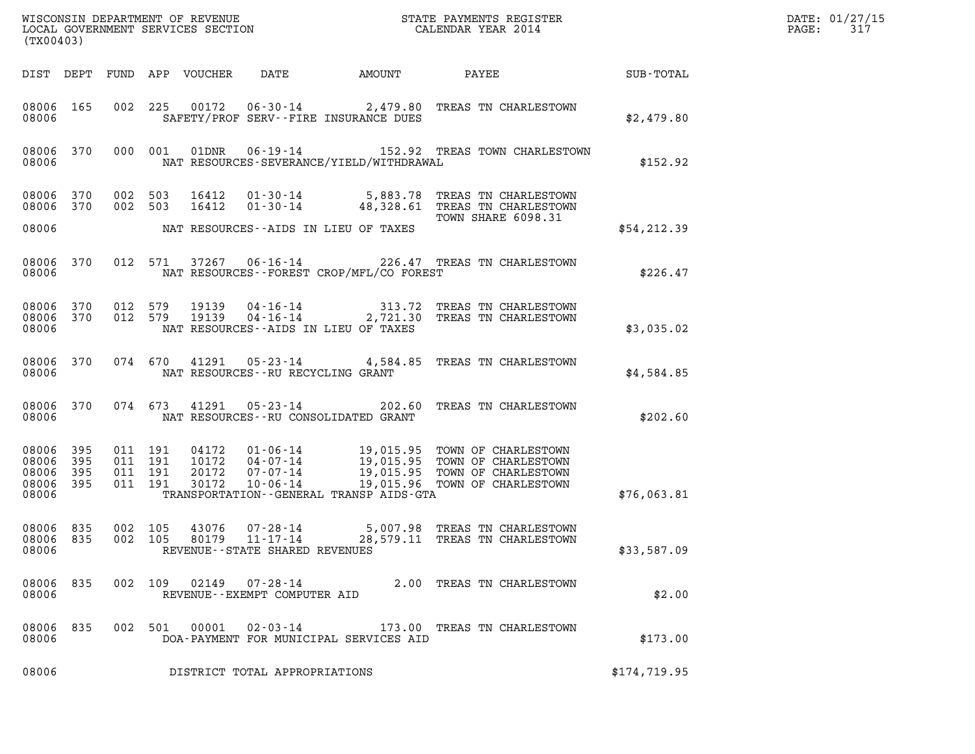|                                                           | (TX00403) |  |                                          |                                  |                                            |                                             |                                                                                                                                                    |               | DATE: 01/27/15<br>PAGE:<br>317 |
|-----------------------------------------------------------|-----------|--|------------------------------------------|----------------------------------|--------------------------------------------|---------------------------------------------|----------------------------------------------------------------------------------------------------------------------------------------------------|---------------|--------------------------------|
|                                                           |           |  |                                          | DIST DEPT FUND APP VOUCHER       | DATE                                       | AMOUNT                                      | PAYEE                                                                                                                                              | SUB-TOTAL     |                                |
| 08006 165<br>08006                                        |           |  |                                          |                                  |                                            | SAFETY/PROF SERV--FIRE INSURANCE DUES       | 002 225 00172 06-30-14 2,479.80 TREAS TN CHARLESTOWN                                                                                               | \$2,479.80    |                                |
| 08006                                                     | 08006 370 |  | 000 001                                  | 01DNR                            |                                            | NAT RESOURCES-SEVERANCE/YIELD/WITHDRAWAL    | 06-19-14 152.92 TREAS TOWN CHARLESTOWN                                                                                                             | \$152.92      |                                |
| 08006 370<br>08006 370                                    |           |  | 002 503<br>002 503                       | 16412<br>16412                   |                                            |                                             | 01-30-14 5,883.78 TREAS TN CHARLESTOWN<br>01-30-14 48,328.61 TREAS TN CHARLESTOWN<br>TOWN SHARE 6098.31                                            |               |                                |
| 08006                                                     |           |  |                                          |                                  |                                            | NAT RESOURCES--AIDS IN LIEU OF TAXES        |                                                                                                                                                    | \$54,212.39   |                                |
| 08006                                                     | 08006 370 |  | 012 571                                  | 37267                            |                                            | NAT RESOURCES - - FOREST CROP/MFL/CO FOREST | 06-16-14 226.47 TREAS TN CHARLESTOWN                                                                                                               | \$226.47      |                                |
| 08006 370<br>08006                                        | 08006 370 |  | 012 579<br>012 579                       | 19139<br>19139                   | 04-16-14<br>$04 - 16 - 14$                 | NAT RESOURCES -- AIDS IN LIEU OF TAXES      | 313.72 TREAS TN CHARLESTOWN<br>2,721.30 TREAS TN CHARLESTOWN                                                                                       | \$3,035.02    |                                |
| 08006 370<br>08006                                        |           |  | 074 670                                  | 41291                            |                                            | NAT RESOURCES - - RU RECYCLING GRANT        | 05-23-14 4,584.85 TREAS TN CHARLESTOWN                                                                                                             | \$4,584.85    |                                |
| 08006 370<br>08006                                        |           |  | 074 673                                  | 41291                            | $05 - 23 - 14$                             | NAT RESOURCES - - RU CONSOLIDATED GRANT     | 202.60 TREAS TN CHARLESTOWN                                                                                                                        | \$202.60      |                                |
| 08006 395<br>08006 395<br>08006 395<br>08006 395<br>08006 |           |  | 011 191<br>011 191<br>011 191<br>011 191 | 04172<br>10172<br>20172<br>30172 | $07 - 07 - 14$<br>$10 - 06 - 14$           | TRANSPORTATION - - GENERAL TRANSP AIDS-GTA  | 01-06-14 19,015.95 TOWN OF CHARLESTOWN<br>04-07-14 19,015.95 TOWN OF CHARLESTOWN<br>19,015.95 TOWN OF CHARLESTOWN<br>19,015.96 TOWN OF CHARLESTOWN | \$76,063.81   |                                |
| 08006 835<br>08006 835<br>08006                           |           |  | 002 105                                  | 43076                            | 07-28-14<br>REVENUE--STATE SHARED REVENUES |                                             | 5,007.98 TREAS TN CHARLESTOWN<br>002 105 80179 11-17-14 28,579.11 TREAS TN CHARLESTOWN                                                             | \$33,587.09   |                                |
| 08006 835<br>08006                                        |           |  |                                          |                                  | REVENUE--EXEMPT COMPUTER AID               |                                             | 002 109 02149 07-28-14 2.00 TREAS TN CHARLESTOWN                                                                                                   | \$2.00        |                                |
| 08006 835<br>08006                                        |           |  |                                          |                                  |                                            | DOA-PAYMENT FOR MUNICIPAL SERVICES AID      | 002 501 00001 02-03-14 173.00 TREAS TN CHARLESTOWN                                                                                                 | \$173.00      |                                |
| 08006                                                     |           |  |                                          |                                  | DISTRICT TOTAL APPROPRIATIONS              |                                             |                                                                                                                                                    | \$174, 719.95 |                                |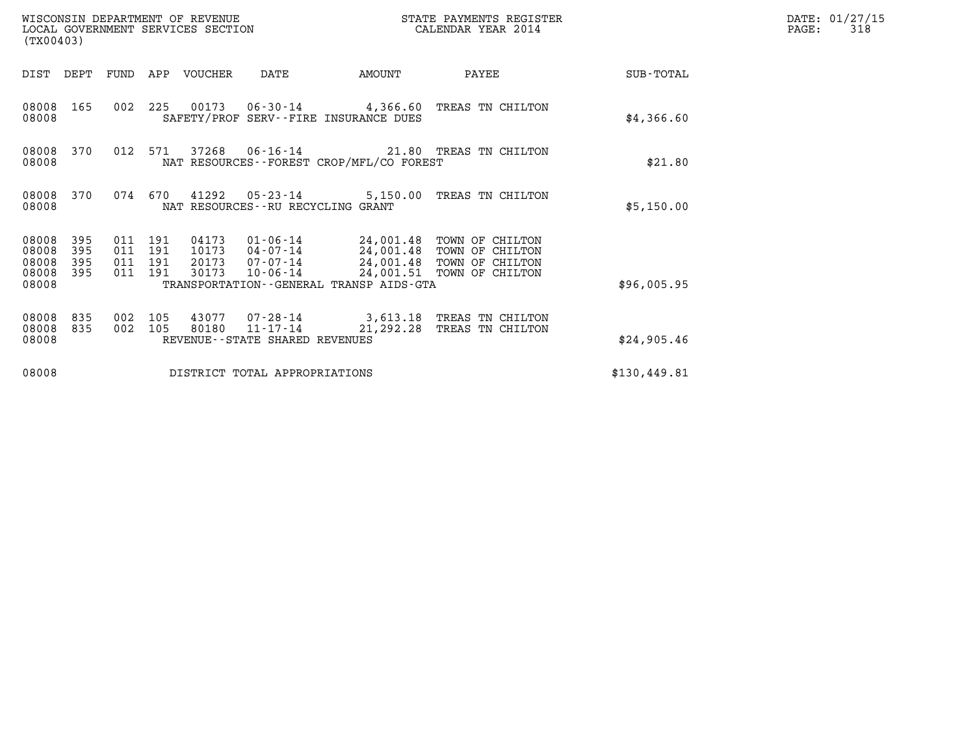| (TX00403)                                 |                          |                                  |            | WISCONSIN DEPARTMENT OF REVENUE<br>LOCAL GOVERNMENT SERVICES SECTION |                                                     | STATE PAYMENTS REGISTER                      | DATE: 01/27/15<br>PAGE:<br>318                                                                                   |              |  |
|-------------------------------------------|--------------------------|----------------------------------|------------|----------------------------------------------------------------------|-----------------------------------------------------|----------------------------------------------|------------------------------------------------------------------------------------------------------------------|--------------|--|
| DIST DEPT                                 |                          | FUND                             |            | APP VOUCHER                                                          | DATE                                                | AMOUNT                                       | PAYEE                                                                                                            | SUB-TOTAL    |  |
| 08008<br>08008                            | 165                      | 002                              | 225        |                                                                      |                                                     | SAFETY/PROF SERV--FIRE INSURANCE DUES        | 00173  06-30-14  4,366.60  TREAS TN CHILTON                                                                      | \$4,366.60   |  |
| 08008<br>08008                            | 370                      | 012                              | 571        |                                                                      |                                                     | NAT RESOURCES - - FOREST CROP/MFL/CO FOREST  | 37268  06-16-14  21.80  TREAS TN CHILTON                                                                         | \$21.80      |  |
| 08008<br>08008                            | 370                      | 074                              | 670        | 41292                                                                | $05 - 23 - 14$<br>NAT RESOURCES--RU RECYCLING GRANT | 5,150.00                                     | TREAS TN CHILTON                                                                                                 | \$5,150.00   |  |
| 08008<br>08008<br>08008<br>08008<br>08008 | 395<br>395<br>395<br>395 | 011 191<br>011<br>011<br>011 191 | 191<br>191 | 04173<br>10173<br>20173<br>30173                                     | 01-06-14<br>04-07-14<br>07-07-14<br>$10 - 06 - 14$  | TRANSPORTATION - - GENERAL TRANSP AIDS - GTA | 24,001.48 TOWN OF CHILTON<br>24,001.48 TOWN OF CHILTON<br>24,001.48 TOWN OF CHILTON<br>24,001.51 TOWN OF CHILTON | \$96,005.95  |  |
| 08008<br>08008<br>08008                   | 835<br>835               | 002<br>002                       | 105<br>105 | 80180                                                                | $11 - 17 - 14$<br>REVENUE--STATE SHARED REVENUES    | 21,292.28                                    | 3,613.18 TREAS TN CHILTON<br>TREAS TN CHILTON                                                                    | \$24,905.46  |  |
| 08008                                     |                          |                                  |            |                                                                      | DISTRICT TOTAL APPROPRIATIONS                       |                                              |                                                                                                                  | \$130,449.81 |  |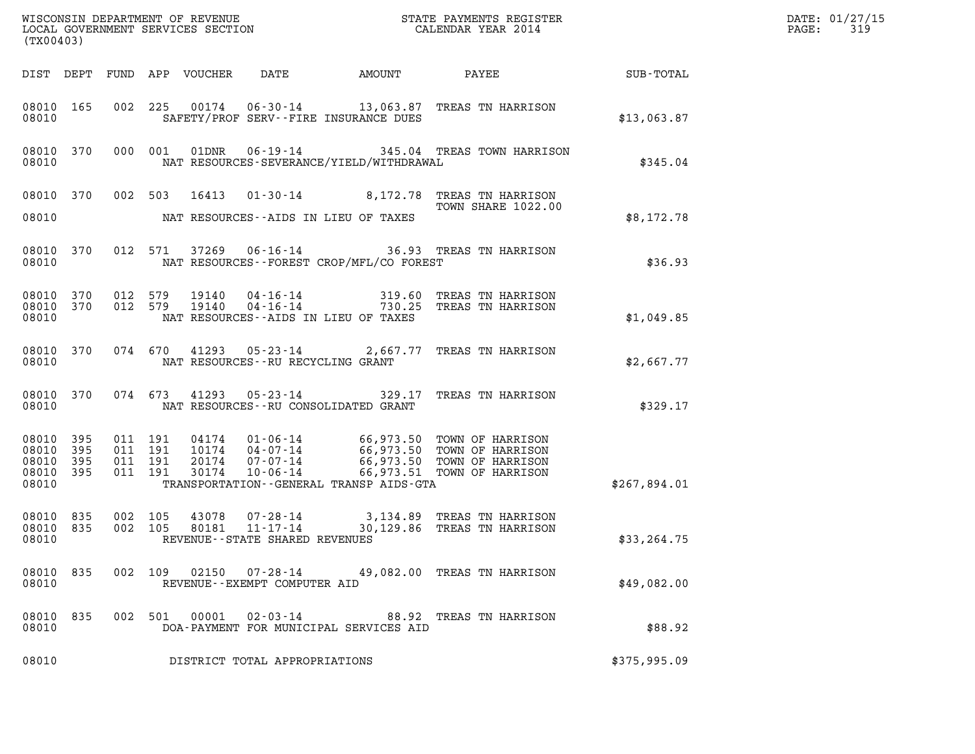|                                                   | (TX00403)  |                               |         |                            |                                                                 |  |                                                                                                                                                                                          |              | DATE: 01/27/15<br>$\mathtt{PAGE}$ :<br>319 |
|---------------------------------------------------|------------|-------------------------------|---------|----------------------------|-----------------------------------------------------------------|--|------------------------------------------------------------------------------------------------------------------------------------------------------------------------------------------|--------------|--------------------------------------------|
|                                                   |            |                               |         | DIST DEPT FUND APP VOUCHER | DATE                                                            |  | AMOUNT PAYEE SUB-TOTAL                                                                                                                                                                   |              |                                            |
| 08010 165<br>08010                                |            |                               |         |                            | SAFETY/PROF SERV--FIRE INSURANCE DUES                           |  | 002 225 00174 06-30-14 13,063.87 TREAS TN HARRISON                                                                                                                                       | \$13,063.87  |                                            |
| 08010 370<br>08010                                |            |                               | 000 001 |                            | NAT RESOURCES-SEVERANCE/YIELD/WITHDRAWAL                        |  | 01DNR  06-19-14  345.04 TREAS TOWN HARRISON                                                                                                                                              | \$345.04     |                                            |
| 08010                                             |            |                               |         |                            | NAT RESOURCES--AIDS IN LIEU OF TAXES                            |  | 08010 370 002 503 16413 01-30-14 8,172.78 TREAS TN HARRISON<br>TOWN SHARE 1022.00                                                                                                        | \$8,172.78   |                                            |
| 08010 370<br>08010                                |            |                               |         |                            | NAT RESOURCES - - FOREST CROP/MFL/CO FOREST                     |  | 012 571 37269 06-16-14 36.93 TREAS TN HARRISON                                                                                                                                           | \$36.93      |                                            |
| 08010 370<br>08010                                | 08010 370  |                               | 012 579 | 19140<br>012 579 19140     | NAT RESOURCES--AIDS IN LIEU OF TAXES                            |  | 04-16-14 319.60 TREAS TN HARRISON<br>04-16-14 730.25 TREAS TN HARRISON                                                                                                                   | \$1,049.85   |                                            |
| 08010 370<br>08010                                |            |                               |         |                            | NAT RESOURCES--RU RECYCLING GRANT                               |  | 074 670 41293 05-23-14 2,667.77 TREAS TN HARRISON                                                                                                                                        | \$2,667.77   |                                            |
| 08010 370<br>08010                                |            |                               |         |                            | NAT RESOURCES--RU CONSOLIDATED GRANT                            |  | 074 673 41293 05-23-14 329.17 TREAS TN HARRISON                                                                                                                                          | \$329.17     |                                            |
| 08010 395<br>08010<br>08010<br>08010 395<br>08010 | 395<br>395 | 011 191<br>011 191<br>011 191 | 011 191 |                            | TRANSPORTATION--GENERAL TRANSP AIDS-GTA                         |  | 04174  01-06-14  66,973.50 TOWN OF HARRISON<br>10174  04-07-14  66,973.50 TOWN OF HARRISON<br>20174  07-07-14  66,973.50 TOWN OF HARRISON<br>30174  10-06-14  66,973.51 TOWN OF HARRISON | \$267,894.01 |                                            |
| 08010 835<br>08010 835<br>08010                   |            | 002 105<br>002 105            |         | 43078                      | 07-28-14<br>80181 11-17-14<br>REVENUE - - STATE SHARED REVENUES |  | 3,134.89 TREAS TN HARRISON<br>30,129.86 TREAS TN HARRISON                                                                                                                                | \$33,264.75  |                                            |
| 08010 835<br>08010                                |            |                               |         |                            | REVENUE--EXEMPT COMPUTER AID                                    |  | 002 109 02150 07-28-14 49,082.00 TREAS TN HARRISON                                                                                                                                       | \$49,082.00  |                                            |
| 08010 835<br>08010                                |            |                               |         | 002 501 00001              | DOA-PAYMENT FOR MUNICIPAL SERVICES AID                          |  | 02-03-14 88.92 TREAS TN HARRISON                                                                                                                                                         | \$88.92      |                                            |
| 08010                                             |            |                               |         |                            | DISTRICT TOTAL APPROPRIATIONS                                   |  |                                                                                                                                                                                          | \$375,995.09 |                                            |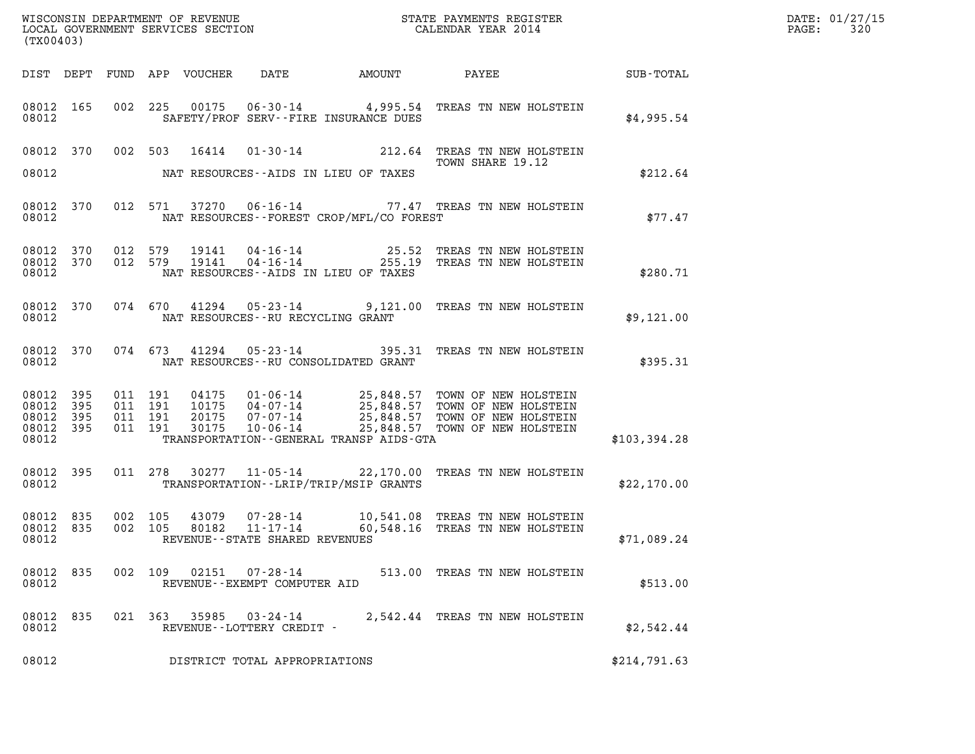| (TX00403)                                    |           |                    |                    |       |                                            |                                             | $\mathcal{L}(\mathcal{L}^{\text{max}}_{\mathcal{L}^{\text{max}}_{\mathcal{L}^{\text{max}}_{\mathcal{L}^{\text{max}}_{\mathcal{L}^{\text{max}}_{\mathcal{L}^{\text{max}}_{\mathcal{L}^{\text{max}}_{\mathcal{L}^{\text{max}}_{\mathcal{L}^{\text{max}}_{\mathcal{L}^{\text{max}}_{\mathcal{L}^{\text{max}}_{\mathcal{L}^{\text{max}}_{\mathcal{L}^{\text{max}}_{\mathcal{L}^{\text{max}}_{\mathcal{L}^{\text{max}}_{\mathcal{L}^{\text{max}}_{\mathcal{L}$ | DATE: 01/27/15<br>$\mathtt{PAGE:}$<br>320 |  |
|----------------------------------------------|-----------|--------------------|--------------------|-------|--------------------------------------------|---------------------------------------------|-----------------------------------------------------------------------------------------------------------------------------------------------------------------------------------------------------------------------------------------------------------------------------------------------------------------------------------------------------------------------------------------------------------------------------------------------------------|-------------------------------------------|--|
|                                              |           |                    |                    |       |                                            |                                             |                                                                                                                                                                                                                                                                                                                                                                                                                                                           |                                           |  |
| 08012                                        |           |                    |                    |       |                                            | SAFETY/PROF SERV--FIRE INSURANCE DUES       | 08012 165 002 225 00175 06-30-14 4,995.54 TREAS TN NEW HOLSTEIN                                                                                                                                                                                                                                                                                                                                                                                           | \$4,995.54                                |  |
|                                              |           |                    |                    |       |                                            | 08012 NAT RESOURCES--AIDS IN LIEU OF TAXES  | 08012 370 002 503 16414 01-30-14 212.64 TREAS TN NEW HOLSTEIN<br>TOWN SHARE 19.12<br>TOWN SHARE 19.12                                                                                                                                                                                                                                                                                                                                                     | \$212.64                                  |  |
|                                              |           | 08012              |                    |       |                                            | NAT RESOURCES - - FOREST CROP/MFL/CO FOREST | 08012 370 012 571 37270 06-16-14 77.47 TREAS TN NEW HOLSTEIN                                                                                                                                                                                                                                                                                                                                                                                              | \$77.47                                   |  |
| 08012                                        |           |                    |                    |       |                                            | NAT RESOURCES--AIDS IN LIEU OF TAXES        | 08012 370 012 579 19141 04-16-14 25.52 TREAS TN NEW HOLSTEIN<br>08012 370 012 579 19141 04-16-14 255.19 TREAS TN NEW HOLSTEIN                                                                                                                                                                                                                                                                                                                             | \$280.71                                  |  |
|                                              |           |                    |                    |       | 08012 NAT RESOURCES--RU RECYCLING GRANT    |                                             | 08012 370 074 670 41294 05-23-14 9,121.00 TREAS TN NEW HOLSTEIN                                                                                                                                                                                                                                                                                                                                                                                           | \$9,121.00                                |  |
|                                              |           |                    |                    |       |                                            | 08012 NAT RESOURCES--RU CONSOLIDATED GRANT  | 08012 370 074 673 41294 05-23-14 395.31 TREAS TN NEW HOLSTEIN                                                                                                                                                                                                                                                                                                                                                                                             | \$395.31                                  |  |
| 08012 395<br>08012 395<br>08012 395<br>08012 | 08012 395 | 011 191<br>011 191 | 011 191<br>011 191 |       |                                            | TRANSPORTATION--GENERAL TRANSP AIDS-GTA     | 04175  01-06-14  25,848.57  TOWN OF NEW HOLSTEIN<br>10175  04-07-14  25,848.57  TOWN OF NEW HOLSTEIN<br>20175  07-07-14  25,848.57  TOWN OF NEW HOLSTEIN<br>30175  10-06-14  25,848.57  TOWN OF NEW HOLSTEIN                                                                                                                                                                                                                                              | \$103,394.28                              |  |
| 08012 395                                    |           | 08012 2003         |                    |       |                                            | TRANSPORTATION - - LRIP/TRIP/MSIP GRANTS    | 011 278 30277 11-05-14 22,170.00 TREAS TN NEW HOLSTEIN                                                                                                                                                                                                                                                                                                                                                                                                    | \$22,170.00                               |  |
| 08012 835<br>08012 835<br>08012              |           | 002 105<br>002 105 |                    | 80182 | 11-17-14<br>REVENUE--STATE SHARED REVENUES |                                             | 43079  07-28-14   10,541.08   TREAS TN NEW HOLSTEIN<br>60,548.16 TREAS TN NEW HOLSTEIN                                                                                                                                                                                                                                                                                                                                                                    | \$71,089.24                               |  |
| 08012 835<br>08012                           |           |                    |                    |       | REVENUE--EXEMPT COMPUTER AID               |                                             | 002 109 02151 07-28-14 513.00 TREAS TN NEW HOLSTEIN                                                                                                                                                                                                                                                                                                                                                                                                       | \$513.00                                  |  |
| 08012 835<br>08012                           |           |                    |                    |       | REVENUE--LOTTERY CREDIT -                  |                                             | 021 363 35985 03-24-14 2,542.44 TREAS TN NEW HOLSTEIN                                                                                                                                                                                                                                                                                                                                                                                                     | \$2,542.44                                |  |
| 08012                                        |           |                    |                    |       | DISTRICT TOTAL APPROPRIATIONS              |                                             |                                                                                                                                                                                                                                                                                                                                                                                                                                                           | \$214,791.63                              |  |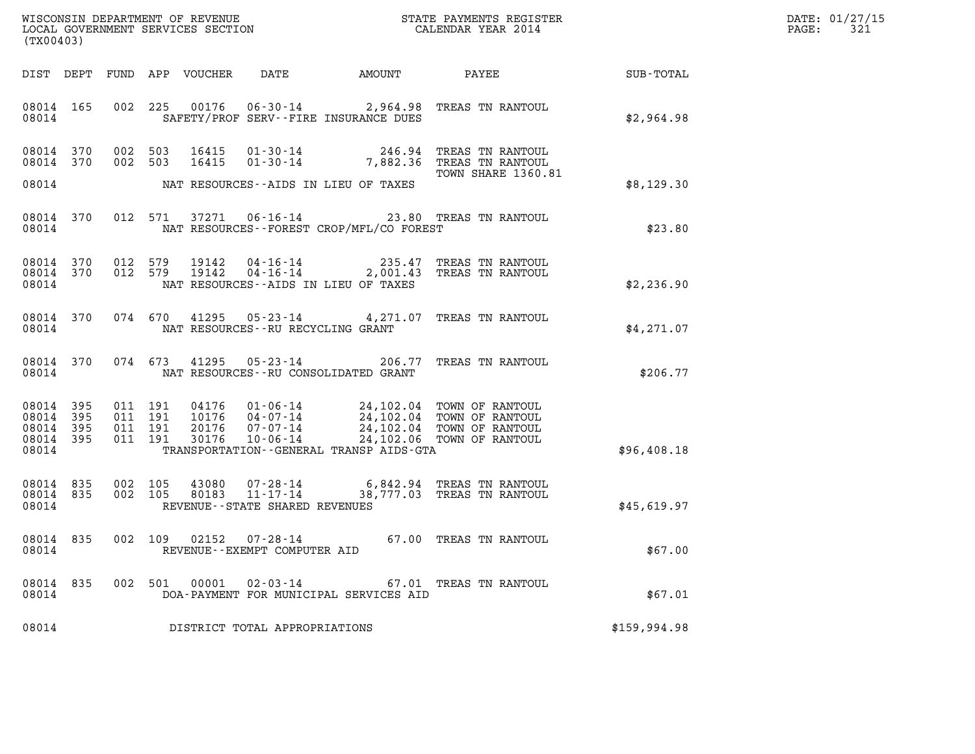| $\mathtt{DATE}$ : | 01/27/15 |
|-------------------|----------|
| PAGE:             | 321      |

| (TX00403)                                                 |           |                                          |                            |                                                                    |                                            |                                                                                                                                                    |              | DATE: 01/27/15<br>$\mathtt{PAGE}$ :<br>321 |
|-----------------------------------------------------------|-----------|------------------------------------------|----------------------------|--------------------------------------------------------------------|--------------------------------------------|----------------------------------------------------------------------------------------------------------------------------------------------------|--------------|--------------------------------------------|
|                                                           |           |                                          | DIST DEPT FUND APP VOUCHER | DATE                                                               | AMOUNT                                     | PAYEE                                                                                                                                              | SUB-TOTAL    |                                            |
| 08014 165<br>08014                                        |           |                                          |                            |                                                                    | SAFETY/PROF SERV--FIRE INSURANCE DUES      | 002 225 00176 06-30-14 2,964.98 TREAS TN RANTOUL                                                                                                   | \$2,964.98   |                                            |
| 08014 370<br>08014 370                                    |           | 002 503<br>002 503                       | 16415<br>16415             |                                                                    |                                            | 01-30-14 246.94 TREAS TN RANTOUL<br>01-30-14 7,882.36 TREAS TN RANTOUL<br>TOWN SHARE 1360.81                                                       |              |                                            |
| 08014                                                     |           |                                          |                            |                                                                    | NAT RESOURCES--AIDS IN LIEU OF TAXES       |                                                                                                                                                    | \$8,129.30   |                                            |
| 08014                                                     | 08014 370 |                                          |                            |                                                                    | NAT RESOURCES--FOREST CROP/MFL/CO FOREST   | 012 571 37271 06-16-14 23.80 TREAS TN RANTOUL                                                                                                      | \$23.80      |                                            |
| 08014 370<br>08014 370<br>08014                           |           | 012 579<br>012 579                       | 19142<br>19142             | 04-16-14<br>$04 - 16 - 14$                                         | NAT RESOURCES--AIDS IN LIEU OF TAXES       | 235.47 TREAS TN RANTOUL<br>2,001.43 TREAS TN RANTOUL                                                                                               | \$2,236.90   |                                            |
| 08014 370<br>08014                                        |           | 074 670                                  |                            | NAT RESOURCES - - RU RECYCLING GRANT                               |                                            | 41295  05-23-14  4,271.07  TREAS TN RANTOUL                                                                                                        | \$4,271.07   |                                            |
| 08014 370<br>08014                                        |           | 074 673                                  | 41295                      | $05 - 23 - 14$                                                     | NAT RESOURCES - - RU CONSOLIDATED GRANT    | 206.77 TREAS TN RANTOUL                                                                                                                            | \$206.77     |                                            |
| 08014 395<br>08014 395<br>08014 395<br>08014 395<br>08014 |           | 011 191<br>011 191<br>011 191<br>011 191 | 20176<br>30176             | 07-07-14<br>$10 - 06 - 14$                                         | TRANSPORTATION - - GENERAL TRANSP AIDS-GTA | 04176  01-06-14  24,102.04 TOWN OF RANTOUL<br>10176  04-07-14  24,102.04 TOWN OF RANTOUL<br>24,102.04 TOWN OF RANTOUL<br>24,102.06 TOWN OF RANTOUL | \$96,408.18  |                                            |
| 08014 835<br>08014 835<br>08014                           |           | 002 105<br>002 105                       | 43080<br>80183             | $07 - 28 - 14$<br>$11 - 17 - 14$<br>REVENUE--STATE SHARED REVENUES |                                            | 6,842.94 TREAS TN RANTOUL<br>38,777.03 TREAS TN RANTOUL                                                                                            | \$45,619.97  |                                            |
| 08014 835<br>08014                                        |           | 002 109                                  |                            | $02152$ $07 - 28 - 14$<br>REVENUE--EXEMPT COMPUTER AID             |                                            | 67.00 TREAS TN RANTOUL                                                                                                                             | \$67.00      |                                            |
| 08014 835<br>08014                                        |           | 002 501                                  | 00001                      | $02 - 03 - 14$                                                     | DOA-PAYMENT FOR MUNICIPAL SERVICES AID     | 67.01 TREAS TN RANTOUL                                                                                                                             | \$67.01      |                                            |
| 08014                                                     |           |                                          |                            | DISTRICT TOTAL APPROPRIATIONS                                      |                                            |                                                                                                                                                    | \$159,994.98 |                                            |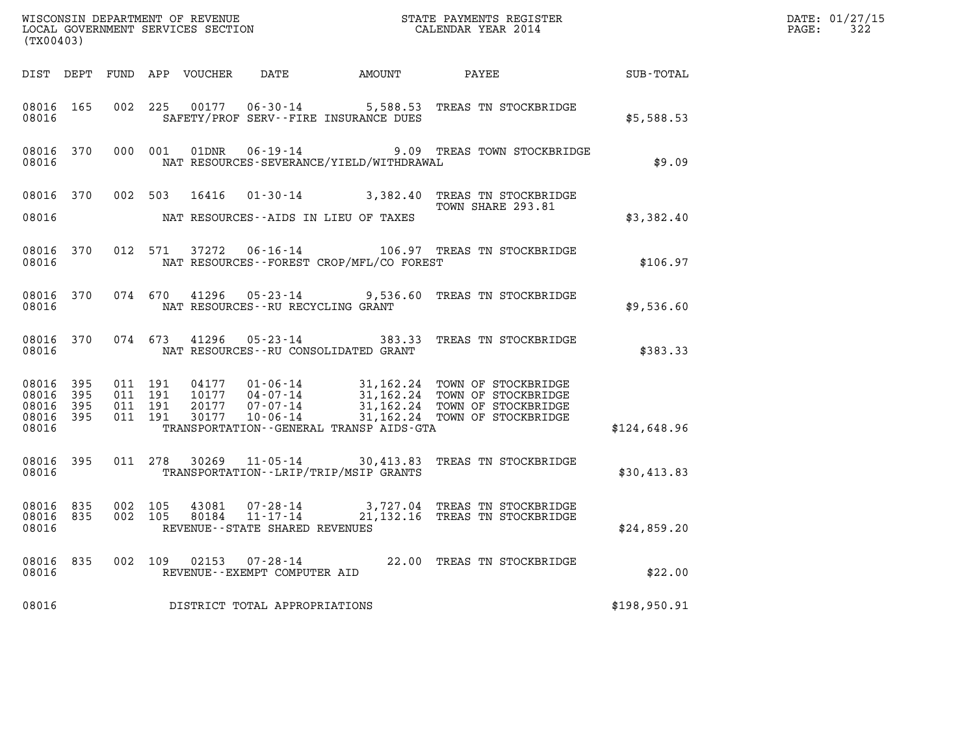| (TX00403)                                             |                        |         |                                          |       |                                                        |                                             | $\tt WISCONSIM DEPARTMENT OF REVENUE$ $\tt WISCONSIMENT$ SERVICES SECTION $\tt WISCONERNMENT$ SERVICES SECTION $\tt CALENDAR$ YEAR 2014                                                                                                   |              | DATE: 01/27/15<br>$\mathtt{PAGE:}$<br>322 |
|-------------------------------------------------------|------------------------|---------|------------------------------------------|-------|--------------------------------------------------------|---------------------------------------------|-------------------------------------------------------------------------------------------------------------------------------------------------------------------------------------------------------------------------------------------|--------------|-------------------------------------------|
|                                                       |                        |         |                                          |       |                                                        |                                             | DIST DEPT FUND APP VOUCHER DATE AMOUNT PAYEE                                                                                                                                                                                              | SUB-TOTAL    |                                           |
| 08016 165<br>08016                                    |                        |         | 002 225                                  |       |                                                        | SAFETY/PROF SERV--FIRE INSURANCE DUES       | 00177  06-30-14  5,588.53  TREAS TN STOCKBRIDGE                                                                                                                                                                                           | \$5,588.53   |                                           |
| 08016                                                 | 08016 370              |         | 000 001                                  | 01DNR |                                                        | NAT RESOURCES-SEVERANCE/YIELD/WITHDRAWAL    | 06-19-14 9.09 TREAS TOWN STOCKBRIDGE                                                                                                                                                                                                      | \$9.09       |                                           |
| 08016 370                                             |                        |         |                                          |       |                                                        |                                             | 002 503 16416 01-30-14 3,382.40 TREAS TN STOCKBRIDGE<br>TOWN SHARE 293.81                                                                                                                                                                 |              |                                           |
| 08016                                                 |                        |         |                                          |       |                                                        | NAT RESOURCES--AIDS IN LIEU OF TAXES        |                                                                                                                                                                                                                                           | \$3,382.40   |                                           |
| 08016 370<br>08016                                    |                        |         | 012 571                                  | 37272 |                                                        | NAT RESOURCES - - FOREST CROP/MFL/CO FOREST | 06-16-14 106.97 TREAS TN STOCKBRIDGE                                                                                                                                                                                                      | \$106.97     |                                           |
| 08016                                                 | 08016 370              |         | 074 670                                  |       | NAT RESOURCES--RU RECYCLING GRANT                      |                                             | 41296 05-23-14 9,536.60 TREAS TN STOCKBRIDGE                                                                                                                                                                                              | \$9,536.60   |                                           |
| 08016                                                 | 08016 370              |         |                                          |       |                                                        | NAT RESOURCES--RU CONSOLIDATED GRANT        | 074 673 41296 05-23-14 383.33 TREAS TN STOCKBRIDGE                                                                                                                                                                                        | \$383.33     |                                           |
| 08016 395<br>08016<br>08016 395<br>08016 395<br>08016 | 395                    |         | 011 191<br>011 191<br>011 191<br>011 191 |       |                                                        | TRANSPORTATION--GENERAL TRANSP AIDS-GTA     | 04177  01-06-14  31,162.24  TOWN OF STOCKBRIDGE<br>10177  04-07-14  31,162.24  TOWN OF STOCKBRIDGE<br>20177  07-07-14  31,162.24  TOWN OF STOCKBRIDGE<br>30177  10-06-14  31,162.24  TOWN OF STOCKBRIDGE<br>31,162.24 TOWN OF STOCKBRIDGE | \$124,648.96 |                                           |
|                                                       |                        |         |                                          |       |                                                        |                                             |                                                                                                                                                                                                                                           |              |                                           |
| 08016                                                 | 08016 395              |         |                                          |       |                                                        | TRANSPORTATION - - LRIP/TRIP/MSIP GRANTS    | 011 278 30269 11-05-14 30,413.83 TREAS TN STOCKBRIDGE                                                                                                                                                                                     | \$30,413.83  |                                           |
| 08016                                                 | 08016 835<br>08016 835 | 002 105 | 002 105                                  |       | 80184 11-17-14<br>REVENUE - - STATE SHARED REVENUES    |                                             | 43081  07-28-14  3,727.04 TREAS TN STOCKBRIDGE<br>21,132.16 TREAS TN STOCKBRIDGE                                                                                                                                                          | \$24,859.20  |                                           |
| 08016                                                 | 08016 835              |         |                                          |       | 002 109 02153 07-28-14<br>REVENUE--EXEMPT COMPUTER AID |                                             | 22.00 TREAS TN STOCKBRIDGE                                                                                                                                                                                                                | \$22.00      |                                           |
| 08016                                                 |                        |         |                                          |       | DISTRICT TOTAL APPROPRIATIONS                          |                                             |                                                                                                                                                                                                                                           | \$198,950.91 |                                           |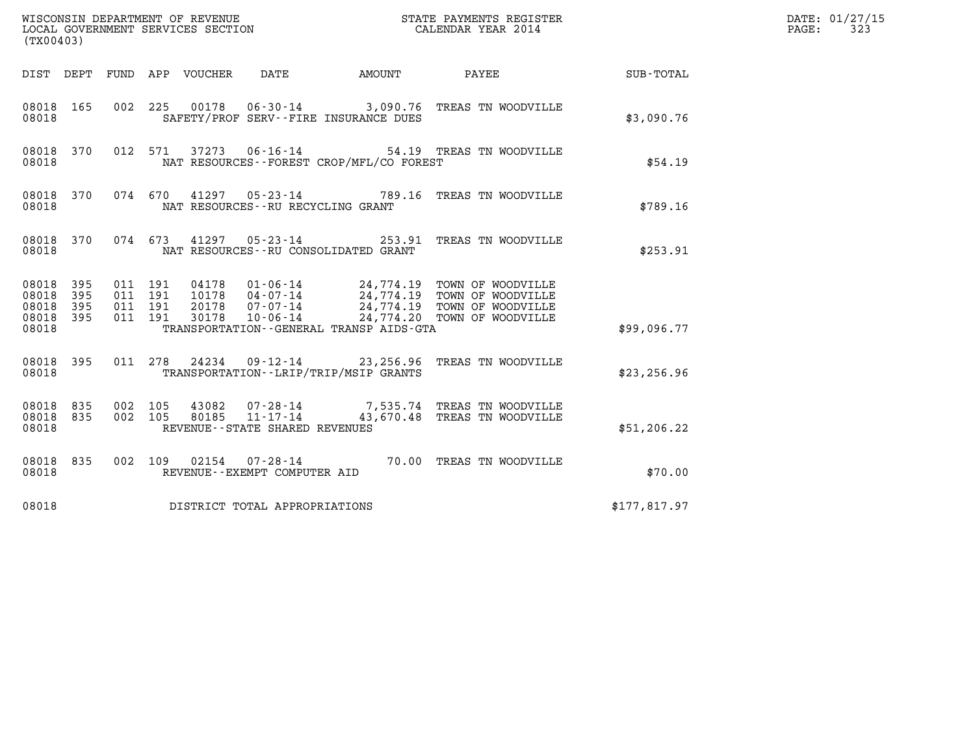| WISCONSIN DEPARTMENT OF REVENUE<br>LOCAL GOVERNMENT SERVICES SECTION<br>STATE PAYMENTS REGISTER<br>CALENDAR YEAR 2014<br>(TX00403) |            |                                          |  |                            |                                   |                                          |                                                                                               |              | DATE: 01/27/15<br>$\mathtt{PAGE:}$<br>323 |
|------------------------------------------------------------------------------------------------------------------------------------|------------|------------------------------------------|--|----------------------------|-----------------------------------|------------------------------------------|-----------------------------------------------------------------------------------------------|--------------|-------------------------------------------|
|                                                                                                                                    |            |                                          |  | DIST DEPT FUND APP VOUCHER | DATE                              |                                          |                                                                                               |              |                                           |
| 08018 165<br>08018                                                                                                                 |            | 002 225                                  |  |                            |                                   | SAFETY/PROF SERV--FIRE INSURANCE DUES    | 00178  06-30-14  3,090.76  TREAS TN WOODVILLE                                                 | \$3,090.76   |                                           |
| 08018 370<br>08018                                                                                                                 |            |                                          |  |                            | 012 571 37273 06-16-14            | NAT RESOURCES--FOREST CROP/MFL/CO FOREST | 54.19 TREAS TN WOODVILLE                                                                      | \$54.19      |                                           |
| 08018 370<br>08018                                                                                                                 |            |                                          |  |                            |                                   | NAT RESOURCES -- RU RECYCLING GRANT      | 074 670 41297 05-23-14 789.16 TREAS TN WOODVILLE                                              | \$789.16     |                                           |
| 08018 370<br>08018                                                                                                                 |            |                                          |  |                            |                                   | NAT RESOURCES -- RU CONSOLIDATED GRANT   | 074 673 41297 05-23-14 253.91 TREAS TN WOODVILLE                                              | \$253.91     |                                           |
| 08018 395<br>08018<br>08018<br>08018 395<br>08018                                                                                  | 395<br>395 | 011 191<br>011 191<br>011 191<br>011 191 |  |                            |                                   | TRANSPORTATION--GENERAL TRANSP AIDS-GTA  |                                                                                               | \$99,096.77  |                                           |
| 08018 395<br>08018                                                                                                                 |            |                                          |  |                            |                                   | TRANSPORTATION--LRIP/TRIP/MSIP GRANTS    | 011 278 24234 09-12-14 23,256.96 TREAS TN WOODVILLE                                           | \$23, 256.96 |                                           |
| 08018 835<br>08018 835<br>08018                                                                                                    |            | 002 105<br>002 105                       |  |                            | REVENUE - - STATE SHARED REVENUES |                                          | 43082  07-28-14  7,535.74 TREAS TN WOODVILLE<br>80185  11-17-14  43,670.48 TREAS TN WOODVILLE | \$51,206.22  |                                           |
| 08018 835<br>08018                                                                                                                 |            |                                          |  |                            | REVENUE--EXEMPT COMPUTER AID      |                                          | 002 109 02154 07-28-14 70.00 TREAS TN WOODVILLE                                               | \$70.00      |                                           |
| 08018                                                                                                                              |            |                                          |  |                            | DISTRICT TOTAL APPROPRIATIONS     |                                          |                                                                                               | \$177,817.97 |                                           |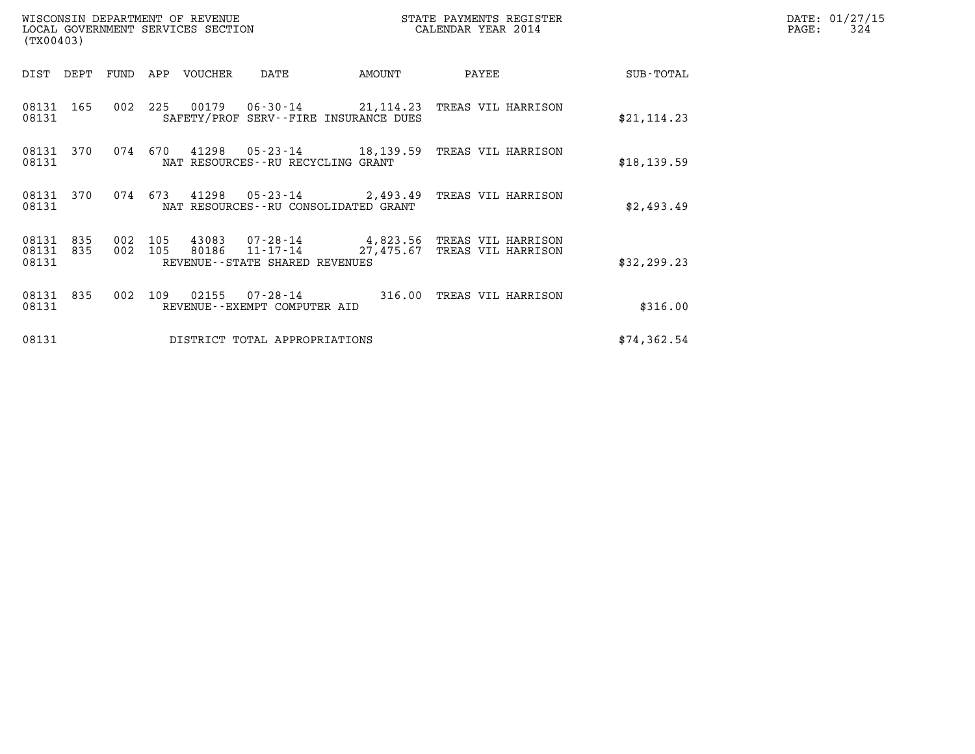| (TX00403)               |            |                    |         | WISCONSIN DEPARTMENT OF REVENUE<br>LOCAL GOVERNMENT SERVICES SECTION |                                       |        | STATE PAYMENTS REGISTER<br>CALENDAR YEAR 2014                                          | DATE: 01/27/15<br>$\mathtt{PAGE:}$<br>324 |  |
|-------------------------|------------|--------------------|---------|----------------------------------------------------------------------|---------------------------------------|--------|----------------------------------------------------------------------------------------|-------------------------------------------|--|
| DIST DEPT               |            | FUND               |         | APP VOUCHER                                                          | DATE                                  | AMOUNT | PAYEE                                                                                  | SUB-TOTAL                                 |  |
| 08131                   | 08131 165  |                    |         |                                                                      | SAFETY/PROF SERV--FIRE INSURANCE DUES |        | 002 225 00179 06-30-14 21,114.23 TREAS VIL HARRISON                                    | \$21, 114.23                              |  |
| 08131                   | 08131 370  | 074                | 670     |                                                                      | NAT RESOURCES--RU RECYCLING GRANT     |        | 41298  05-23-14  18,139.59  TREAS VIL HARRISON                                         | \$18, 139.59                              |  |
| 08131                   | 08131 370  |                    | 074 673 |                                                                      | NAT RESOURCES--RU CONSOLIDATED GRANT  |        | 41298  05-23-14  2,493.49 TREAS VIL HARRISON                                           | \$2,493.49                                |  |
| 08131<br>08131<br>08131 | 835<br>835 | 002 105<br>002 105 |         | 80186                                                                | REVENUE--STATE SHARED REVENUES        |        | 43083  07-28-14  4,823.56  TREAS VIL HARRISON<br>11-17-14 27,475.67 TREAS VIL HARRISON | \$32, 299.23                              |  |
| 08131<br>08131          | 835        |                    | 002 109 |                                                                      | REVENUE--EXEMPT COMPUTER AID          |        | 02155  07-28-14  316.00  TREAS VIL HARRISON                                            | \$316.00                                  |  |
| 08131                   |            |                    |         |                                                                      | DISTRICT TOTAL APPROPRIATIONS         |        |                                                                                        | \$74, 362.54                              |  |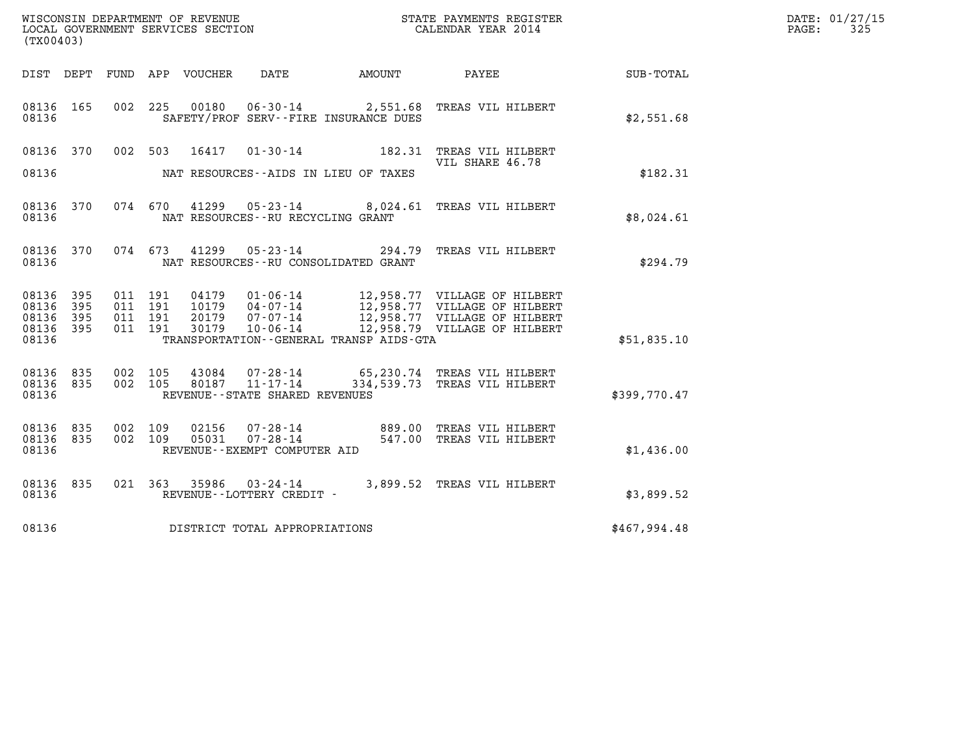| (TX00403)                                     |                     |                                          |         |                |                                                |                                              | WISCONSIN DEPARTMENT OF REVENUE<br>LOCAL GOVERNMENT SERVICES SECTION<br>CALENDAR YEAR 2014            |              | DATE: 01/27/15<br>PAGE:<br>325 |
|-----------------------------------------------|---------------------|------------------------------------------|---------|----------------|------------------------------------------------|----------------------------------------------|-------------------------------------------------------------------------------------------------------|--------------|--------------------------------|
|                                               |                     |                                          |         |                |                                                | DIST DEPT FUND APP VOUCHER DATE AMOUNT PAYEE |                                                                                                       | SUB-TOTAL    |                                |
| 08136 165<br>08136                            |                     |                                          |         |                |                                                | SAFETY/PROF SERV--FIRE INSURANCE DUES        | 002 225 00180 06-30-14 2,551.68 TREAS VIL HILBERT                                                     | \$2,551.68   |                                |
| 08136 370<br>08136                            |                     |                                          | 002 503 | 16417          |                                                | NAT RESOURCES--AIDS IN LIEU OF TAXES         | 01-30-14 182.31 TREAS VIL HILBERT<br>VIL SHARE 46.78                                                  | \$182.31     |                                |
| 08136                                         | 08136 370           |                                          |         |                | NAT RESOURCES - - RU RECYCLING GRANT           |                                              | 074 670 41299 05-23-14 8,024.61 TREAS VIL HILBERT                                                     | \$8,024.61   |                                |
| 08136 370<br>08136                            |                     |                                          |         |                |                                                | NAT RESOURCES -- RU CONSOLIDATED GRANT       | 074  673  41299  05-23-14  294.79  TREAS VIL HILBERT                                                  | \$294.79     |                                |
| 08136 395<br>08136<br>08136<br>08136<br>08136 | 395<br>395<br>- 395 | 011 191<br>011 191<br>011 191<br>011 191 |         | 04179<br>10179 | $04 - 07 - 14$                                 | TRANSPORTATION - - GENERAL TRANSP AIDS - GTA | 01-06-14 12,958.77 VILLAGE OF HILBERT<br>12,958.77 VILLAGE OF HILBERT<br>12,958.77 VILLAGE OF HILBERT | \$51,835.10  |                                |
| 08136<br>08136 835<br>08136                   | 835                 | 002 105<br>002 105                       |         |                | REVENUE - - STATE SHARED REVENUES              |                                              | 43084  07-28-14  65,230.74  TREAS VIL HILBERT<br>80187  11-17-14  334,539.73  TREAS VIL HILBERT       | \$399,770.47 |                                |
| 08136 835<br>08136<br>08136                   | 835                 | 002 109<br>002 109                       |         | 02156<br>05031 | $07 - 28 - 14$<br>REVENUE--EXEMPT COMPUTER AID |                                              | 07-28-14 889.00 TREAS VIL HILBERT<br>547.00 TREAS VIL HILBERT                                         | \$1,436.00   |                                |
| 08136 835<br>08136                            |                     |                                          |         |                | REVENUE--LOTTERY CREDIT -                      |                                              | 021 363 35986 03-24-14 3,899.52 TREAS VIL HILBERT                                                     | \$3,899.52   |                                |
| 08136                                         |                     |                                          |         |                | DISTRICT TOTAL APPROPRIATIONS                  |                                              |                                                                                                       | \$467,994.48 |                                |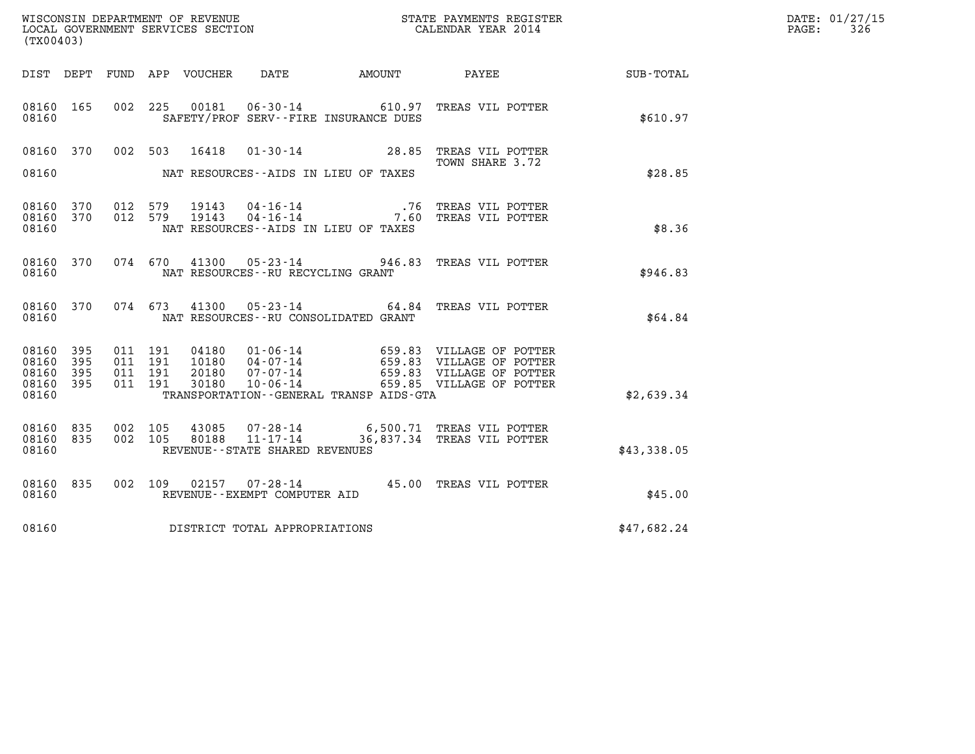| (TX00403)                                             |     |                                          |         |                                  |                                                     |                                              |                                                                                                                                                  |             | DATE: 01/27/15<br>$\mathtt{PAGE:}$<br>326 |
|-------------------------------------------------------|-----|------------------------------------------|---------|----------------------------------|-----------------------------------------------------|----------------------------------------------|--------------------------------------------------------------------------------------------------------------------------------------------------|-------------|-------------------------------------------|
|                                                       |     |                                          |         |                                  |                                                     |                                              |                                                                                                                                                  |             |                                           |
| 08160 165<br>08160                                    |     |                                          |         |                                  |                                                     | SAFETY/PROF SERV--FIRE INSURANCE DUES        | 002 225 00181 06-30-14 610.97 TREAS VIL POTTER                                                                                                   | \$610.97    |                                           |
| 08160 370<br>08160                                    |     |                                          | 002 503 | 16418                            |                                                     | NAT RESOURCES--AIDS IN LIEU OF TAXES         | 01-30-14 28.85 TREAS VIL POTTER<br>TOWN SHARE 3.72                                                                                               | \$28.85     |                                           |
| 08160 370<br>08160 370<br>08160                       |     | 012 579<br>012 579                       |         | 19143<br>19143                   |                                                     | NAT RESOURCES -- AIDS IN LIEU OF TAXES       | 04-16-14 76 TREAS VIL POTTER<br>04-16-14 7.60 TREAS VIL POTTER                                                                                   | \$8.36      |                                           |
| 08160 370<br>08160                                    |     |                                          |         | 074 670 41300                    | $05 - 23 - 14$<br>NAT RESOURCES--RU RECYCLING GRANT |                                              | 946.83 TREAS VIL POTTER                                                                                                                          | \$946.83    |                                           |
| 08160 370<br>08160                                    |     |                                          | 074 673 | 41300                            |                                                     | NAT RESOURCES--RU CONSOLIDATED GRANT         | 05-23-14 64.84 TREAS VIL POTTER                                                                                                                  | \$64.84     |                                           |
| 08160 395<br>08160 395<br>08160<br>08160 395<br>08160 | 395 | 011 191<br>011 191<br>011 191<br>011 191 |         | 04180<br>10180<br>20180<br>30180 |                                                     | TRANSPORTATION - - GENERAL TRANSP AIDS - GTA | 01-06-14 659.83 VILLAGE OF POTTER<br>04-07-14 659.83 VILLAGE OF POTTER<br>07-07-14 659.83 VILLAGE OF POTTER<br>10-06-14 659.85 VILLAGE OF POTTER | \$2,639.34  |                                           |
| 08160 835<br>08160 835<br>08160                       |     | 002 105<br>002 105                       |         | 43085<br>80188                   | $11 - 17 - 14$<br>REVENUE--STATE SHARED REVENUES    |                                              | 07-28-14 6,500.71 TREAS VIL POTTER<br>36,837.34 TREAS VIL POTTER                                                                                 | \$43,338.05 |                                           |
| 08160 835<br>08160                                    |     |                                          | 002 109 |                                  | REVENUE--EXEMPT COMPUTER AID                        |                                              | 02157  07-28-14  45.00 TREAS VIL POTTER                                                                                                          | \$45.00     |                                           |
| 08160                                                 |     |                                          |         |                                  | DISTRICT TOTAL APPROPRIATIONS                       |                                              |                                                                                                                                                  | \$47,682.24 |                                           |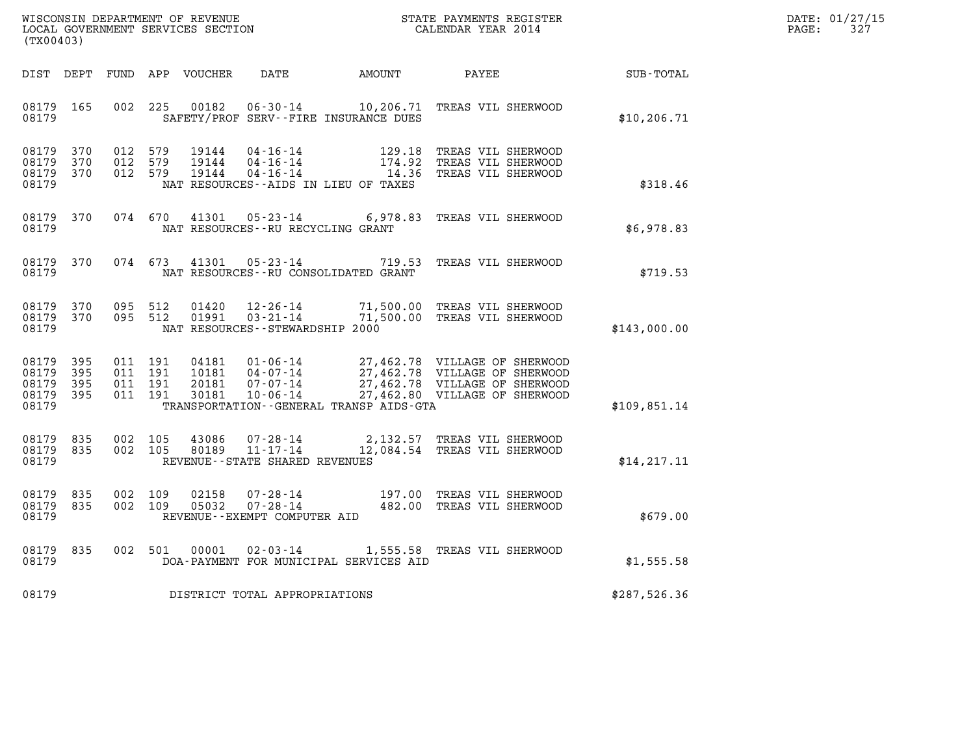| WISCONSIN DEPARTMENT OF REVENUE   | STATE PAYMENTS REGISTER | DATE: 01/27/15 |
|-----------------------------------|-------------------------|----------------|
| LOCAL GOVERNMENT SERVICES SECTION | CALENDAR YEAR 2014      | PAGE:          |

| WISCONSIN DEPARTMENT OF REVENUE<br>LOCAL GOVERNMENT SERVICES SECTION<br>(TX00403) |                   |  |                                                          |                                                                  |                                                                                                                                                                                                                                     | STATE PAYMENTS REGISTER<br>CALENDAR YEAR 2014                                                                                                                                                                                             |              | DATE: 01/27/15<br>327<br>PAGE: |
|-----------------------------------------------------------------------------------|-------------------|--|----------------------------------------------------------|------------------------------------------------------------------|-------------------------------------------------------------------------------------------------------------------------------------------------------------------------------------------------------------------------------------|-------------------------------------------------------------------------------------------------------------------------------------------------------------------------------------------------------------------------------------------|--------------|--------------------------------|
|                                                                                   |                   |  | DIST DEPT FUND APP VOUCHER                               |                                                                  | DATE AMOUNT                                                                                                                                                                                                                         | <b>PAYEE</b>                                                                                                                                                                                                                              | SUB-TOTAL    |                                |
| 08179<br>08179                                                                    | 165               |  | 002 225<br>00182                                         |                                                                  | SAFETY/PROF SERV--FIRE INSURANCE DUES                                                                                                                                                                                               | 06-30-14 10,206.71 TREAS VIL SHERWOOD                                                                                                                                                                                                     | \$10, 206.71 |                                |
| 08179<br>08179<br>08179<br>08179                                                  | 370<br>370<br>370 |  | 012 579<br>19144<br>012 579<br>19144<br>012 579<br>19144 |                                                                  | $\begin{array}{cccc} 04\texttt{-}16\texttt{-}14 & & & 129\texttt{-}18 \\ 04\texttt{-}16\texttt{-}14 & & & 174\texttt{-}92 \\ 04\texttt{-}16\texttt{-}14 & & & 14\texttt{-}36 \end{array}$<br>NAT RESOURCES -- AIDS IN LIEU OF TAXES | TREAS VIL SHERWOOD<br>TREAS VIL SHERWOOD<br>TREAS VIL SHERWOOD                                                                                                                                                                            | \$318.46     |                                |
| 08179<br>08179                                                                    | 370               |  | 074 670<br>41301                                         | NAT RESOURCES - - RU RECYCLING GRANT                             | $05 - 23 - 14$ 6,978.83                                                                                                                                                                                                             | TREAS VIL SHERWOOD                                                                                                                                                                                                                        | \$6,978.83   |                                |
| 08179<br>08179                                                                    | 370               |  | 074 673                                                  | 41301                                                            | $05 - 23 - 14$ 719.53<br>NAT RESOURCES - - RU CONSOLIDATED GRANT                                                                                                                                                                    | TREAS VIL SHERWOOD                                                                                                                                                                                                                        | \$719.53     |                                |
| 08179<br>08179<br>08179                                                           | 370<br>370        |  | 095 512<br>01420<br>095 512<br>01991                     | 12-26-14<br>$03 - 21 - 14$<br>NAT RESOURCES - - STEWARDSHIP 2000 | 71,500.00                                                                                                                                                                                                                           | 71,500.00 TREAS VIL SHERWOOD<br>TREAS VIL SHERWOOD                                                                                                                                                                                        | \$143,000.00 |                                |
| 08179<br>08179<br>08179<br>08179 395<br>08179                                     | 395<br>395<br>395 |  | 011 191<br>011 191<br>011 191<br>011 191<br>30181        | 10-06-14                                                         | TRANSPORTATION--GENERAL TRANSP AIDS-GTA                                                                                                                                                                                             | 04181  01-06-14  27,462.78  VILLAGE OF SHERWOOD<br>10181  04-07-14  27,462.78  VILLAGE OF SHERWOOD<br>20181  07-07-14  27,462.78  VILLAGE OF SHERWOOD<br>30181  10-06-14  27,462.80  VILLAGE OF SHERWOOD<br>27,462.80 VILLAGE OF SHERWOOD | \$109,851.14 |                                |
| 08179<br>08179<br>08179                                                           | 835<br>835        |  | 002 105<br>43086<br>002 105<br>80189                     | REVENUE - - STATE SHARED REVENUES                                |                                                                                                                                                                                                                                     | 07-28-14 2,132.57 TREAS VIL SHERWOOD 11-17-14 12,084.54 TREAS VIL SHERWOOD                                                                                                                                                                | \$14, 217.11 |                                |
| 08179<br>08179<br>08179                                                           | 835<br>835        |  | 002 109<br>02158<br>002 109<br>05032                     | REVENUE--EXEMPT COMPUTER AID                                     |                                                                                                                                                                                                                                     | 07-28-14 197.00 TREAS VIL SHERWOOD 07-28-14 482.00 TREAS VIL SHERWOOD                                                                                                                                                                     | \$679.00     |                                |
| 08179<br>08179                                                                    | 835               |  | 002 501 00001                                            |                                                                  | DOA-PAYMENT FOR MUNICIPAL SERVICES AID                                                                                                                                                                                              | 02-03-14 1,555.58 TREAS VIL SHERWOOD                                                                                                                                                                                                      | \$1,555.58   |                                |
| 08179                                                                             |                   |  |                                                          | DISTRICT TOTAL APPROPRIATIONS                                    |                                                                                                                                                                                                                                     |                                                                                                                                                                                                                                           | \$287,526.36 |                                |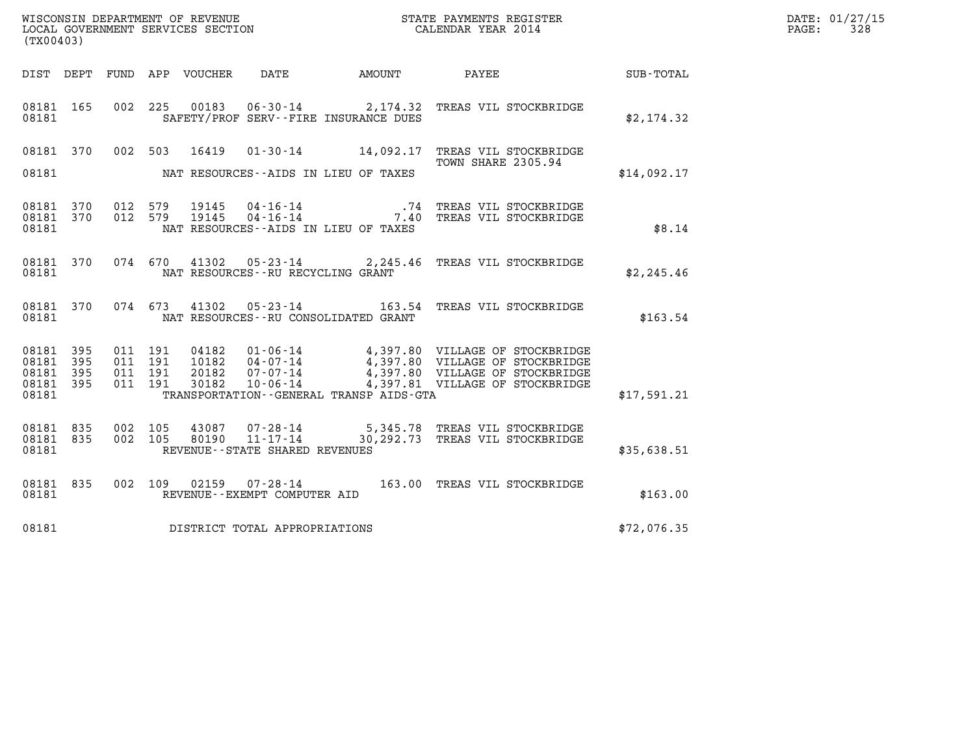| (TX00403)                                                    |                                                                                                |                                                                            |             | DATE: 01/27/15<br>PAGE:<br>328 |
|--------------------------------------------------------------|------------------------------------------------------------------------------------------------|----------------------------------------------------------------------------|-------------|--------------------------------|
|                                                              |                                                                                                |                                                                            |             |                                |
| 08181 165<br>08181                                           | 002 225 00183 06-30-14 2,174.32 TREAS VIL STOCKBRIDGE<br>SAFETY/PROF SERV--FIRE INSURANCE DUES |                                                                            | \$2,174.32  |                                |
| 08181 370<br>08181                                           | 002 503<br>16419<br>NAT RESOURCES--AIDS IN LIEU OF TAXES                                       | 01-30-14 14,092.17 TREAS VIL STOCKBRIDGE<br>TOWN SHARE 2305.94             | \$14,092.17 |                                |
| 08181 370<br>08181 370<br>08181                              | 012 579<br>19145<br>012 579<br>19145<br>NAT RESOURCES -- AIDS IN LIEU OF TAXES                 | 04-16-14 74 TREAS VIL STOCKBRIDGE<br>04-16-14 7.40 TREAS VIL STOCKBRIDGE   | \$8.14      |                                |
| 08181 370<br>08181                                           | 074 670 41302 05-23-14 2,245.46 TREAS VIL STOCKBRIDGE<br>NAT RESOURCES - - RU RECYCLING GRANT  |                                                                            | \$2,245.46  |                                |
| 08181 370<br>08181                                           | 074 673<br>41302<br>NAT RESOURCES - - RU CONSOLIDATED GRANT                                    | 05-23-14 163.54 TREAS VIL STOCKBRIDGE                                      | \$163.54    |                                |
| 08181 395<br>08181 395<br>08181<br>395<br>08181 395<br>08181 | 011 191<br>011 191<br>011 191<br>011 191<br>TRANSPORTATION - - GENERAL TRANSP AIDS - GTA       |                                                                            | \$17,591.21 |                                |
| 08181 835<br>08181 835<br>08181                              | 002 105<br>43087<br>002 105<br>11-17-14<br>80190<br>REVENUE - - STATE SHARED REVENUES          | 07-28-14 5,345.78 TREAS VIL STOCKBRIDGE<br>30,292.73 TREAS VIL STOCKBRIDGE | \$35,638.51 |                                |
| 08181 835<br>08181                                           | 002 109<br>02159  07-28-14  163.00 TREAS VIL STOCKBRIDGE<br>REVENUE--EXEMPT COMPUTER AID       |                                                                            | \$163.00    |                                |
| 08181                                                        | DISTRICT TOTAL APPROPRIATIONS                                                                  |                                                                            | \$72,076.35 |                                |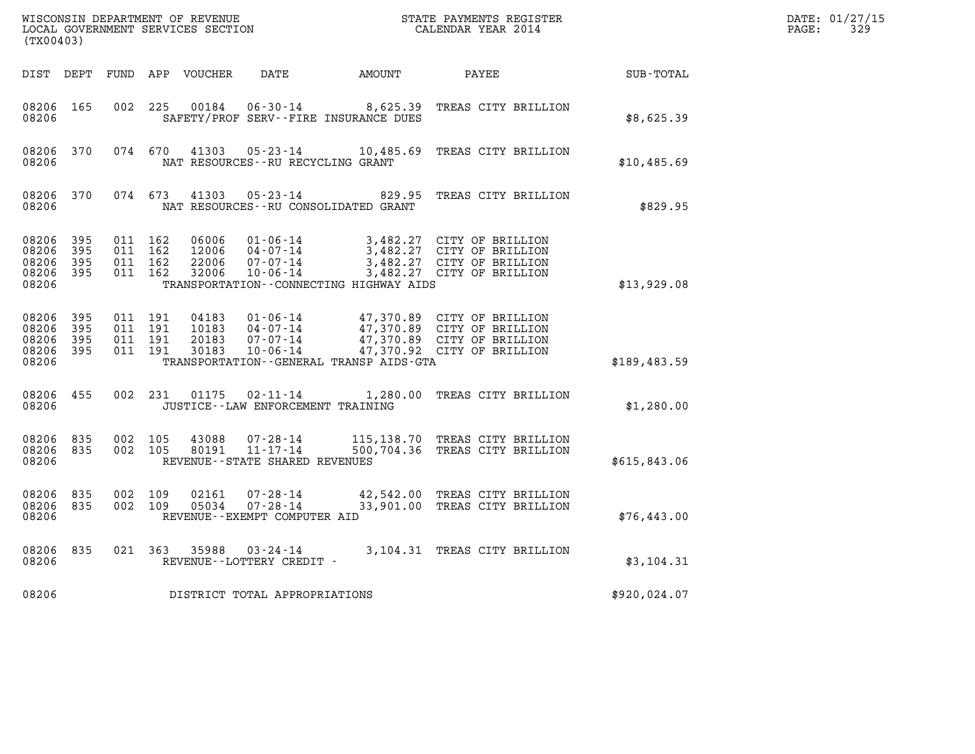| WISCONSIN DEPARTMENT OF REVENUE<br>LOCAL GOVERNMENT SERVICES SECTION<br>(TX00403) |                          |                                          |         |                                  |                                                              | STATE PAYMENTS REGISTER<br>CALENDAR YEAR 2014                    |                                                                                                                      |              | DATE: 01/27/15<br>$\mathtt{PAGE}$ :<br>329 |
|-----------------------------------------------------------------------------------|--------------------------|------------------------------------------|---------|----------------------------------|--------------------------------------------------------------|------------------------------------------------------------------|----------------------------------------------------------------------------------------------------------------------|--------------|--------------------------------------------|
| DIST DEPT                                                                         |                          |                                          |         | FUND APP VOUCHER                 | DATE                                                         | AMOUNT                                                           | PAYEE                                                                                                                | SUB-TOTAL    |                                            |
| 08206 165<br>08206                                                                |                          | 002                                      | 225     | 00184                            |                                                              | $06 - 30 - 14$ 8,625.39<br>SAFETY/PROF SERV--FIRE INSURANCE DUES | TREAS CITY BRILLION                                                                                                  | \$8,625.39   |                                            |
| 08206 370<br>08206                                                                |                          |                                          | 074 670 | 41303                            | 05-23-14<br>NAT RESOURCES - - RU RECYCLING GRANT             | 10,485.69                                                        | TREAS CITY BRILLION                                                                                                  | \$10,485.69  |                                            |
| 08206 370<br>08206                                                                |                          | 074 673                                  |         | 41303                            | 05-23-14                                                     | NAT RESOURCES--RU CONSOLIDATED GRANT                             | 829.95 TREAS CITY BRILLION                                                                                           | \$829.95     |                                            |
| 08206<br>08206<br>08206<br>08206<br>08206                                         | 395<br>395<br>395<br>395 | 011 162<br>011 162<br>011 162            | 011 162 | 06006<br>12006<br>22006<br>32006 | $01 - 06 - 14$<br>04-07-14<br>07-07-14<br>10-06-14           | TRANSPORTATION - - CONNECTING HIGHWAY AIDS                       | 3,482.27 CITY OF BRILLION<br>3,482.27 CITY OF BRILLION<br>3,482.27 CITY OF BRILLION<br>3,482.27 CITY OF BRILLION     | \$13,929.08  |                                            |
| 08206<br>08206<br>08206<br>08206<br>08206                                         | 395<br>395<br>395<br>395 | 011 191<br>011 191<br>011 191<br>011 191 |         | 04183<br>10183<br>20183<br>30183 | 01-06-14<br>$04 - 07 - 14$<br>07-07-14<br>10-06-14           | TRANSPORTATION--GENERAL TRANSP AIDS-GTA                          | 47,370.89 CITY OF BRILLION<br>47,370.89 CITY OF BRILLION<br>47,370.89 CITY OF BRILLION<br>47,370.92 CITY OF BRILLION | \$189,483.59 |                                            |
| 08206 455<br>08206                                                                |                          |                                          | 002 231 | 01175                            | 02-11-14<br>JUSTICE - - LAW ENFORCEMENT TRAINING             |                                                                  | 1,280.00 TREAS CITY BRILLION                                                                                         | \$1,280.00   |                                            |
| 08206<br>08206<br>08206                                                           | 835<br>835               | 002 105<br>002 105                       |         | 43088<br>80191                   | 07-28-14<br>$11 - 17 - 14$<br>REVENUE--STATE SHARED REVENUES |                                                                  | 115,138.70 TREAS CITY BRILLION<br>500,704.36 TREAS CITY BRILLION                                                     | \$615,843.06 |                                            |
| 08206 835<br>08206<br>08206                                                       | 835                      | 002 109<br>002 109                       |         | 02161<br>05034                   | 07-28-14<br>$07 - 28 - 14$<br>REVENUE--EXEMPT COMPUTER AID   |                                                                  | 42,542.00 TREAS CITY BRILLION<br>33,901.00 TREAS CITY BRILLION                                                       | \$76,443.00  |                                            |
| 08206 835<br>08206                                                                |                          |                                          | 021 363 | 35988                            | 03-24-14<br>REVENUE--LOTTERY CREDIT -                        |                                                                  | 3,104.31 TREAS CITY BRILLION                                                                                         | \$3,104.31   |                                            |
| 08206                                                                             |                          |                                          |         |                                  | DISTRICT TOTAL APPROPRIATIONS                                |                                                                  |                                                                                                                      | \$920,024.07 |                                            |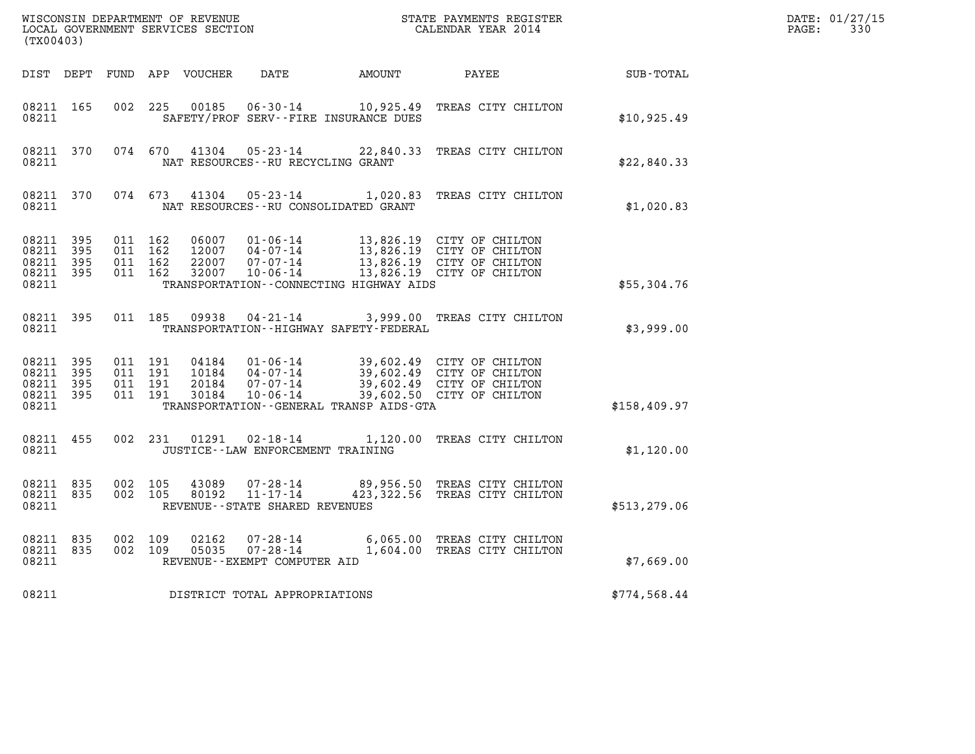| WISCONSIN DEPARTMENT OF REVENUE<br>LOCAL GOVERNMENT SERVICES SECTION<br>(TX00403) |              |                                          |                    |                                  |                                                                                                     |        | STATE PAYMENTS REGISTER<br>CALENDAR YEAR 2014                                                                    |               | DATE: 01/27/15<br>$\mathtt{PAGE}$ :<br>330 |
|-----------------------------------------------------------------------------------|--------------|------------------------------------------|--------------------|----------------------------------|-----------------------------------------------------------------------------------------------------|--------|------------------------------------------------------------------------------------------------------------------|---------------|--------------------------------------------|
| DIST DEPT                                                                         |              |                                          |                    | FUND APP VOUCHER                 | DATE                                                                                                | AMOUNT | PAYEE                                                                                                            | SUB-TOTAL     |                                            |
| 08211 165<br>08211                                                                |              | 002 225                                  |                    | 00185                            | SAFETY/PROF SERV--FIRE INSURANCE DUES                                                               |        | 06-30-14 10,925.49 TREAS CITY CHILTON                                                                            | \$10,925.49   |                                            |
| 08211 370<br>08211                                                                |              |                                          | 074 670            | 41304                            | 05-23-14<br>NAT RESOURCES - - RU RECYCLING GRANT                                                    |        | 22,840.33 TREAS CITY CHILTON                                                                                     | \$22,840.33   |                                            |
| 08211 370<br>08211                                                                |              | 074 673                                  |                    | 41304                            | $05 - 23 - 14$<br>NAT RESOURCES - - RU CONSOLIDATED GRANT                                           |        | 1,020.83 TREAS CITY CHILTON                                                                                      | \$1,020.83    |                                            |
| 08211 395<br>08211<br>08211<br>08211 395<br>08211                                 | 395<br>395   | 011 162<br>011 162<br>011 162<br>011 162 |                    | 06007<br>12007<br>22007<br>32007 | 01-06-14<br>04-07-14<br>04-07-14<br>07-07-14<br>10-06-14<br>TRANSPORTATION--CONNECTING HIGHWAY AIDS |        | 13,826.19 CITY OF CHILTON<br>13,826.19 CITY OF CHILTON<br>13,826.19 CITY OF CHILTON<br>13,826.19 CITY OF CHILTON | \$55,304.76   |                                            |
| 08211 395<br>08211                                                                |              |                                          | 011 185            | 09938                            | 04-21-14<br>TRANSPORTATION - - HIGHWAY SAFETY - FEDERAL                                             |        | 3,999.00 TREAS CITY CHILTON                                                                                      | \$3,999.00    |                                            |
| 08211 395<br>08211<br>08211<br>08211 395<br>08211                                 | - 395<br>395 | 011 191<br>011 191<br>011 191            | 011 191            | 04184<br>10184<br>20184<br>30184 | 01-06-14<br>04-07-14<br>$07 - 07 - 14$<br>$10 - 06 - 14$<br>TRANSPORTATION--GENERAL TRANSP AIDS-GTA |        | 39,602.49 CITY OF CHILTON<br>39,602.49 CITY OF CHILTON<br>39,602.49 CITY OF CHILTON<br>39,602.50 CITY OF CHILTON | \$158,409.97  |                                            |
| 08211 455<br>08211                                                                |              |                                          | 002 231            | 01291                            | 02-18-14<br>JUSTICE - - LAW ENFORCEMENT TRAINING                                                    |        | 1,120.00 TREAS CITY CHILTON                                                                                      | \$1,120.00    |                                            |
| 08211 835<br>08211 835<br>08211                                                   |              |                                          | 002 105<br>002 105 | 43089<br>80192                   | 07-28-14<br>$11 - 17 - 14$<br>REVENUE - - STATE SHARED REVENUES                                     |        | 89,956.50 TREAS CITY CHILTON<br>423,322.56 TREAS CITY CHILTON                                                    | \$513, 279.06 |                                            |
| 08211 835<br>08211 835<br>08211                                                   |              | 002 109<br>002 109                       |                    | 02162<br>05035                   | $07 - 28 - 14$<br>$07 - 28 - 14$<br>REVENUE - - EXEMPT COMPUTER AID                                 |        | 6,065.00 TREAS CITY CHILTON<br>1,604.00 TREAS CITY CHILTON                                                       | \$7,669.00    |                                            |
| 08211                                                                             |              |                                          |                    |                                  | DISTRICT TOTAL APPROPRIATIONS                                                                       |        |                                                                                                                  | \$774,568.44  |                                            |